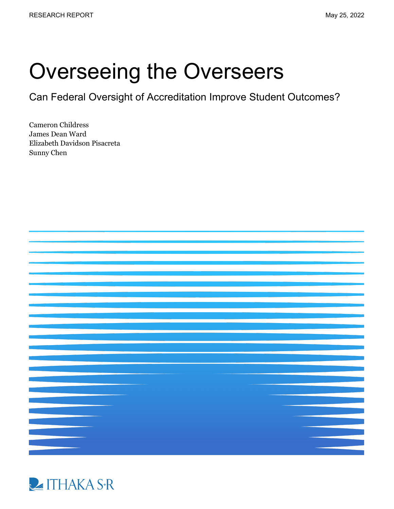# Overseeing the Overseers

Can Federal Oversight of Accreditation Improve Student Outcomes?

Cameron Childress James Dean Ward Elizabeth Davidson Pisacreta Sunny Chen



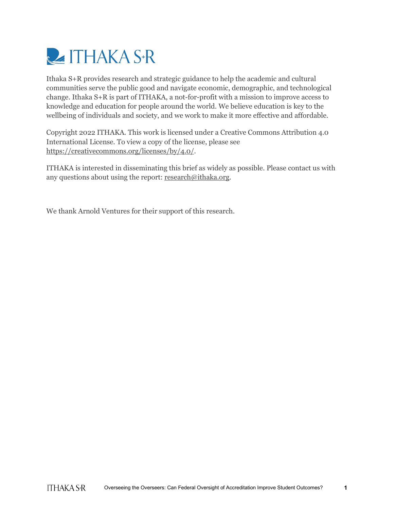

Ithaka S+R provides research and strategic guidance to help the academic and cultural communities serve the public good and navigate economic, demographic, and technological change. Ithaka S+R is part of ITHAKA, a not-for-profit with a mission to improve access to knowledge and education for people around the world. We believe education is key to the wellbeing of individuals and society, and we work to make it more effective and affordable.

Copyright 2022 ITHAKA. This work is licensed under a Creative Commons Attribution 4.0 International License. To view a copy of the license, please see [https://creativecommons.org/licenses/by/4.0/.](https://creativecommons.org/licenses/by/4.0/)

ITHAKA is interested in disseminating this brief as widely as possible. Please contact us with any questions about using the report[: research@ithaka.org.](mailto:research@ithaka.org)

We thank Arnold Ventures for their support of this research.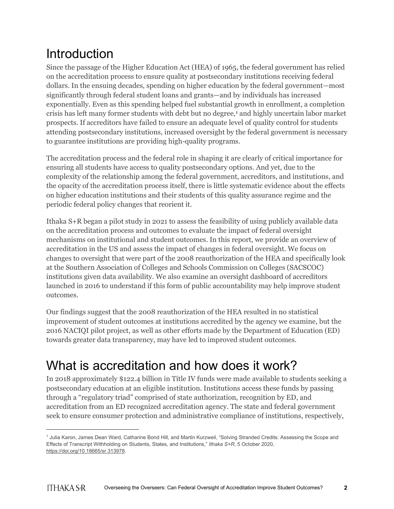## **Introduction**

Since the passage of the Higher Education Act (HEA) of 1965, the federal government has relied on the accreditation process to ensure quality at postsecondary institutions receiving federal dollars. In the ensuing decades, spending on higher education by the federal government—most significantly through federal student loans and grants—and by individuals has increased exponentially. Even as this spending helped fuel substantial growth in enrollment, a completion crisis has left many former students with debt but no degree,<sup>[1](#page-2-0)</sup> and highly uncertain labor market prospects. If accreditors have failed to ensure an adequate level of quality control for students attending postsecondary institutions, increased oversight by the federal government is necessary to guarantee institutions are providing high-quality programs.

The accreditation process and the federal role in shaping it are clearly of critical importance for ensuring all students have access to quality postsecondary options. And yet, due to the complexity of the relationship among the federal government, accreditors, and institutions, and the opacity of the accreditation process itself, there is little systematic evidence about the effects on higher education institutions and their students of this quality assurance regime and the periodic federal policy changes that reorient it.

Ithaka S+R began a pilot study in 2021 to assess the feasibility of using publicly available data on the accreditation process and outcomes to evaluate the impact of federal oversight mechanisms on institutional and student outcomes. In this report, we provide an overview of accreditation in the US and assess the impact of changes in federal oversight. We focus on changes to oversight that were part of the 2008 reauthorization of the HEA and specifically look at the Southern Association of Colleges and Schools Commission on Colleges (SACSCOC) institutions given data availability. We also examine an oversight dashboard of accreditors launched in 2016 to understand if this form of public accountability may help improve student outcomes.

Our findings suggest that the 2008 reauthorization of the HEA resulted in no statistical improvement of student outcomes at institutions accredited by the agency we examine, but the 2016 NACIQI pilot project, as well as other efforts made by the Department of Education (ED) towards greater data transparency, may have led to improved student outcomes.

## What is accreditation and how does it work?

In 2018 approximately \$122.4 billion in Title IV funds were made available to students seeking a postsecondary education at an eligible institution. Institutions access these funds by passing through a "regulatory triad" comprised of state authorization, recognition by ED, and accreditation from an ED recognized accreditation agency. The state and federal government seek to ensure consumer protection and administrative compliance of institutions, respectively,

<span id="page-2-0"></span><sup>1</sup> Julia Karon, James Dean Ward, Catharine Bond Hill, and Martin Kurzweil, "Solving Stranded Credits: Assessing the Scope and Effects of Transcript Withholding on Students, States, and Institutions," *Ithaka S+R*, 5 October 2020, [https://doi.org/10.18665/sr.313978.](https://doi.org/10.18665/sr.313978)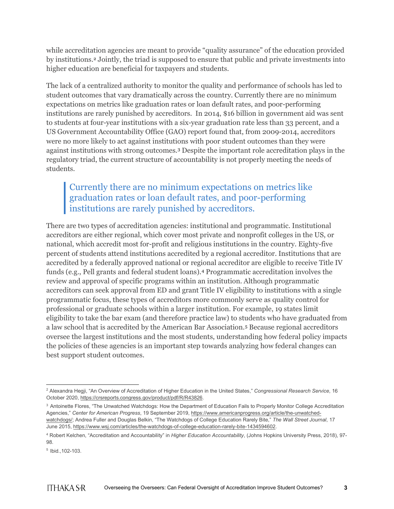while accreditation agencies are meant to provide "quality assurance" of the education provided by institutions.[2](#page-3-0) Jointly, the triad is supposed to ensure that public and private investments into higher education are beneficial for taxpayers and students.

The lack of a centralized authority to monitor the quality and performance of schools has led to student outcomes that vary dramatically across the country. Currently there are no minimum expectations on metrics like graduation rates or loan default rates, and poor-performing institutions are rarely punished by accreditors. In 2014, \$16 billion in government aid was sent to students at four-year institutions with a six-year graduation rate less than 33 percent, and a US Government Accountability Office (GAO) report found that, from 2009-2014, accreditors were no more likely to act against institutions with poor student outcomes than they were against institutions with strong outcomes.[3](#page-3-1) Despite the important role accreditation plays in the regulatory triad, the current structure of accountability is not properly meeting the needs of students.

### Currently there are no minimum expectations on metrics like graduation rates or loan default rates, and poor-performing institutions are rarely punished by accreditors.

There are two types of accreditation agencies: institutional and programmatic. Institutional accreditors are either regional, which cover most private and nonprofit colleges in the US, or national, which accredit most for-profit and religious institutions in the country. Eighty-five percent of students attend institutions accredited by a regional accreditor. Institutions that are accredited by a federally approved national or regional accreditor are eligible to receive Title IV funds (e.g., Pell grants and federal student loans).[4](#page-3-2) Programmatic accreditation involves the review and approval of specific programs within an institution. Although programmatic accreditors can seek approval from ED and grant Title IV eligibility to institutions with a single programmatic focus, these types of accreditors more commonly serve as quality control for professional or graduate schools within a larger institution. For example, 19 states limit eligibility to take the bar exam (and therefore practice law) to students who have graduated from a law school that is accredited by the American Bar Association.[5](#page-3-3) Because regional accreditors oversee the largest institutions and the most students, understanding how federal policy impacts the policies of these agencies is an important step towards analyzing how federal changes can best support student outcomes.

<span id="page-3-0"></span><sup>2</sup> Alexandra Hegji, "An Overview of Accreditation of Higher Education in the United States," *Congressional Research Service*, 16 October 2020, [https://crsreports.congress.gov/product/pdf/R/R43826.](https://crsreports.congress.gov/product/pdf/R/R43826)

<span id="page-3-1"></span><sup>3</sup> Antoinette Flores, "The Unwatched Watchdogs: How the Department of Education Fails to Properly Monitor College Accreditation Agencies," *Center for American Progress*, 19 September 2019, [https://www.americanprogress.org/article/the-unwatched](https://www.americanprogress.org/article/the-unwatched-watchdogs/)[watchdogs/;](https://www.americanprogress.org/article/the-unwatched-watchdogs/) Andrea Fuller and Douglas Belkin, "The Watchdogs of College Education Rarely Bite," *The Wall Street Journal*, 17 June 2015, [https://www.wsj.com/articles/the-watchdogs-of-college-education-rarely-bite-1434594602.](https://www.wsj.com/articles/the-watchdogs-of-college-education-rarely-bite-1434594602)

<span id="page-3-2"></span><sup>4</sup> Robert Kelchen, "Accreditation and Accountability" in *Higher Education Accountability*, (Johns Hopkins University Press, 2018), 97- 98.

<span id="page-3-3"></span><sup>5</sup> Ibid.,102-103.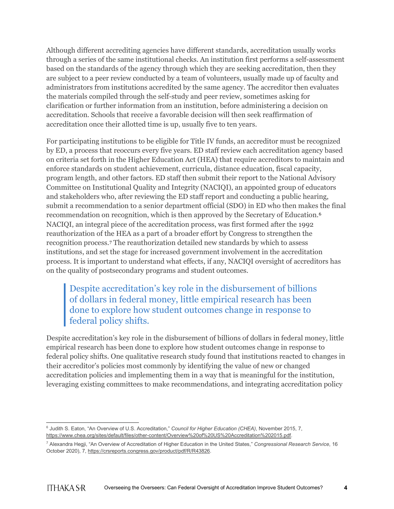Although different accrediting agencies have different standards, accreditation usually works through a series of the same institutional checks. An institution first performs a self-assessment based on the standards of the agency through which they are seeking accreditation, then they are subject to a peer review conducted by a team of volunteers, usually made up of faculty and administrators from institutions accredited by the same agency. The accreditor then evaluates the materials compiled through the self-study and peer review, sometimes asking for clarification or further information from an institution, before administering a decision on accreditation. Schools that receive a favorable decision will then seek reaffirmation of accreditation once their allotted time is up, usually five to ten years.

For participating institutions to be eligible for Title IV funds, an accreditor must be recognized by ED, a process that reoccurs every five years. ED staff review each accreditation agency based on criteria set forth in the Higher Education Act (HEA) that require accreditors to maintain and enforce standards on student achievement, curricula, distance education, fiscal capacity, program length, and other factors. ED staff then submit their report to the National Advisory Committee on Institutional Quality and Integrity (NACIQI), an appointed group of educators and stakeholders who, after reviewing the ED staff report and conducting a public hearing, submit a recommendation to a senior department official (SDO) in ED who then makes the final recommendation on recognition, which is then approved by the Secretary of Education.[6](#page-4-0) NACIQI, an integral piece of the accreditation process, was first formed after the 1992 reauthorization of the HEA as a part of a broader effort by Congress to strengthen the recognition process.[7](#page-4-1) The reauthorization detailed new standards by which to assess institutions, and set the stage for increased government involvement in the accreditation process. It is important to understand what effects, if any, NACIQI oversight of accreditors has on the quality of postsecondary programs and student outcomes.

Despite accreditation's key role in the disbursement of billions of dollars in federal money, little empirical research has been done to explore how student outcomes change in response to federal policy shifts.

Despite accreditation's key role in the disbursement of billions of dollars in federal money, little empirical research has been done to explore how student outcomes change in response to federal policy shifts. One qualitative research study found that institutions reacted to changes in their accreditor's policies most commonly by identifying the value of new or changed accreditation policies and implementing them in a way that is meaningful for the institution, leveraging existing committees to make recommendations, and integrating accreditation policy

<span id="page-4-0"></span><sup>6</sup> Judith S. Eaton, "An Overview of U.S. Accreditation," *Council for Higher Education (CHEA)*, November 2015, 7, [https://www.chea.org/sites/default/files/other-content/Overview%20of%20US%20Accreditation%202015.pdf.](https://www.chea.org/sites/default/files/other-content/Overview%20of%20US%20Accreditation%202015.pdf)

<span id="page-4-1"></span><sup>7</sup> Alexandra Hegji, "An Overview of Accreditation of Higher Education in the United States," *Congressional Research Service*, 16 October 2020), 7[, https://crsreports.congress.gov/product/pdf/R/R43826.](https://crsreports.congress.gov/product/pdf/R/R43826)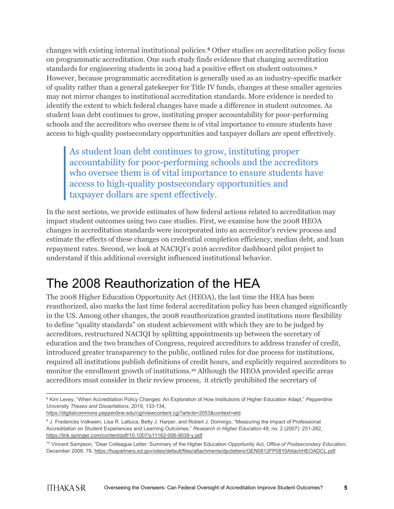changes with existing internal institutional policies.[8](#page-5-0) Other studies on accreditation policy focus on programmatic accreditation. One such study finds evidence that changing accreditation standards for engineering students in 2004 had a positive effect on student outcomes.[9](#page-5-1) However, because programmatic accreditation is generally used as an industry-specific marker of quality rather than a general gatekeeper for Title IV funds, changes at these smaller agencies may not mirror changes to institutional accreditation standards. More evidence is needed to identify the extent to which federal changes have made a difference in student outcomes. As student loan debt continues to grow, instituting proper accountability for poor-performing schools and the accreditors who oversee them is of vital importance to ensure students have access to high-quality postsecondary opportunities and taxpayer dollars are spent effectively.

As student loan debt continues to grow, instituting proper accountability for poor-performing schools and the accreditors who oversee them is of vital importance to ensure students have access to high-quality postsecondary opportunities and taxpayer dollars are spent effectively.

In the next sections, we provide estimates of how federal actions related to accreditation may impact student outcomes using two case studies. First, we examine how the 2008 HEOA changes in accreditation standards were incorporated into an accreditor's review process and estimate the effects of these changes on credential completion efficiency, median debt, and loan repayment rates. Second, we look at NACIQI's 2016 accreditor dashboard pilot project to understand if this additional oversight influenced institutional behavior.

## The 2008 Reauthorization of the HEA

The 2008 Higher Education Opportunity Act (HEOA), the last time the HEA has been reauthorized, also marks the last time federal accreditation policy has been changed significantly in the US. Among other changes, the 2008 reauthorization granted institutions more flexibility to define "quality standards" on student achievement with which they are to be judged by accreditors, restructured NACIQI by splitting appointments up between the secretary of education and the two branches of Congress, required accreditors to address transfer of credit, introduced greater transparency to the public, outlined rules for due process for institutions, required all institutions publish definitions of credit hours, and explicitly required accreditors to monitor the enrollment growth of institutions.<sup>[10](#page-5-2)</sup> Although the HEOA provided specific areas accreditors must consider in their review process, it strictly prohibited the secretary of

<span id="page-5-0"></span><sup>8</sup> Kim Levey, "When Accreditation Policy Changes: An Exploration of How Institutions of Higher Education Adapt," *Pepperdine University Theses and Dissertations*, 2019, 133-134,

[https://digitalcommons.pepperdine.edu/cgi/viewcontent.cgi?article=2053&context=etd.](https://digitalcommons.pepperdine.edu/cgi/viewcontent.cgi?article=2053&context=etd)

<span id="page-5-1"></span><sup>9</sup> J. Fredericks Volkwein, Lisa R. Lattuca, Betty J. Harper, and Robert J. Domingo, "Measuring the Impact of Professional Accreditation on Student Experiences and Learning Outcomes," *Research in Higher Education* 48, no. 2 (2007): 251-282, [https://link.springer.com/content/pdf/10.1007/s11162-006-9039-y.pdf.](https://link.springer.com/content/pdf/10.1007/s11162-006-9039-y.pdf)

<span id="page-5-2"></span><sup>10</sup> Vincent Sampson, "Dear Colleague Letter: Summary of the Higher Education Opportunity Act, *Office of Postsecondary Education,*  December 2008, 78[, https://fsapartners.ed.gov/sites/default/files/attachments/dpcletters/GEN0812FP0810AttachHEOADCL.pdf.](https://fsapartners.ed.gov/sites/default/files/attachments/dpcletters/GEN0812FP0810AttachHEOADCL.pdf)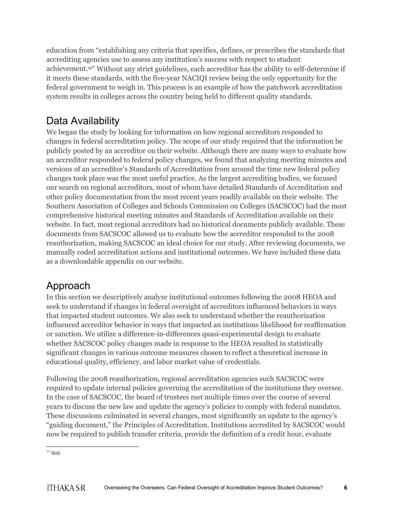education from "establishing any criteria that specifies, defines, or prescribes the standards that accrediting agencies use to assess any institution's success with respect to student achievement.[11](#page-6-0)" Without any strict guidelines, each accreditor has the ability to self-determine if it meets these standards, with the five-year NACIQI review being the only opportunity for the federal government to weigh in. This process is an example of how the patchwork accreditation system results in colleges across the country being held to different quality standards.

### Data Availability

We began the study by looking for information on how regional accreditors responded to changes in federal accreditation policy. The scope of our study required that the information be publicly posted by an accreditor on their website. Although there are many ways to evaluate how an accreditor responded to federal policy changes, we found that analyzing meeting minutes and versions of an accreditor's Standards of Accreditation from around the time new federal policy changes took place was the most useful practice. As the largest accrediting bodies, we focused our search on regional accreditors, most of whom have detailed Standards of Accreditation and other policy documentation from the most recent years readily available on their website. The Southern Association of Colleges and Schools Commission on Colleges (SACSCOC) had the most comprehensive historical meeting minutes and Standards of Accreditation available on their website. In fact, most regional accreditors had no historical documents publicly available. These documents from SACSCOC allowed us to evaluate how the accreditor responded to the 2008 reauthorization, making SACSCOC an ideal choice for our study. After reviewing documents, we manually coded accreditation actions and institutional outcomes. We have included these data as a downloadable appendix on our website.

### Approach

In this section we descriptively analyze institutional outcomes following the 2008 HEOA and seek to understand if changes in federal oversight of accreditors influenced behaviors in ways that impacted student outcomes. We also seek to understand whether the reauthorization influenced accreditor behavior in ways that impacted an institutions likelihood for reaffirmation or sanction. We utilize a difference-in-differences quasi-experimental design to evaluate whether SACSCOC policy changes made in response to the HEOA resulted in statistically significant changes in various outcome measures chosen to reflect a theoretical increase in educational quality, efficiency, and labor market value of credentials.

Following the 2008 reauthorization, regional accreditation agencies such SACSCOC were required to update internal policies governing the accreditation of the institutions they oversee. In the case of SACSCOC, the board of trustees met multiple times over the course of several years to discuss the new law and update the agency's policies to comply with federal mandates. These discussions culminated in several changes, most significantly an update to the agency's "guiding document," the Principles of Accreditation. Institutions accredited by SACSCOC would now be required to publish transfer criteria, provide the definition of a credit hour, evaluate

<span id="page-6-0"></span> $11$  Ibid.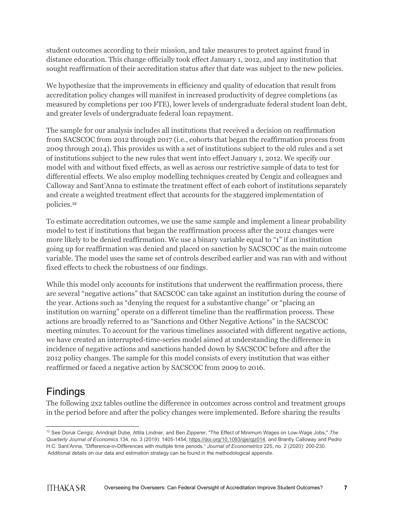student outcomes according to their mission, and take measures to protect against fraud in distance education. This change officially took effect January 1, 2012, and any institution that sought reaffirmation of their accreditation status after that date was subject to the new policies.

We hypothesize that the improvements in efficiency and quality of education that result from accreditation policy changes will manifest in increased productivity of degree completions (as measured by completions per 100 FTE), lower levels of undergraduate federal student loan debt, and greater levels of undergraduate federal loan repayment.

The sample for our analysis includes all institutions that received a decision on reaffirmation from SACSCOC from 2012 through 2017 (i.e., cohorts that began the reaffirmation process from 2009 through 2014). This provides us with a set of institutions subject to the old rules and a set of institutions subject to the new rules that went into effect January 1, 2012. We specify our model with and without fixed effects, as well as across our restrictive sample of data to test for differential effects. We also employ modelling techniques created by Cengiz and colleagues and Calloway and Sant'Anna to estimate the treatment effect of each cohort of institutions separately and create a weighted treatment effect that accounts for the staggered implementation of policies.[12](#page-7-0)

To estimate accreditation outcomes, we use the same sample and implement a linear probability model to test if institutions that began the reaffirmation process after the 2012 changes were more likely to be denied reaffirmation. We use a binary variable equal to "1" if an institution going up for reaffirmation was denied and placed on sanction by SACSCOC as the main outcome variable. The model uses the same set of controls described earlier and was ran with and without fixed effects to check the robustness of our findings.

While this model only accounts for institutions that underwent the reaffirmation process, there are several "negative actions" that SACSCOC can take against an institution during the course of the year. Actions such as "denying the request for a substantive change" or "placing an institution on warning" operate on a different timeline than the reaffirmation process. These actions are broadly referred to as "Sanctions and Other Negative Actions" in the SACSCOC meeting minutes. To account for the various timelines associated with different negative actions, we have created an interrupted-time-series model aimed at understanding the difference in incidence of negative actions and sanctions handed down by SACSCOC before and after the 2012 policy changes. The sample for this model consists of every institution that was either reaffirmed or faced a negative action by SACSCOC from 2009 to 2016.

### Findings

The following 2x2 tables outline the difference in outcomes across control and treatment groups in the period before and after the policy changes were implemented. Before sharing the results

<span id="page-7-0"></span><sup>12</sup> See Doruk Cengiz, Arindrajit Dube, Attila Lindner, and Ben Zipperer, "The Effect of Minimum Wages on Low-Wage Jobs," *The Quarterly Journal of Economics* 134, no. 3 (2019): 1405-1454, [https://doi.org/10.1093/qje/qjz014,](https://doi.org/10.1093/qje/qjz014) and Brantly Calloway and Pedro H.C. Sant'Anna, "Difference-in-Differences with multiple time periods," *Journal of Econometrics* 225, no. 2 (2020): 200-230. Additional details on our data and estimation strategy can be found in the methodological appendix.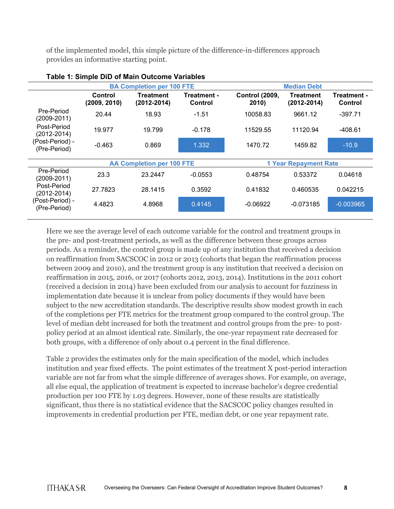of the implemented model, this simple picture of the difference-in-differences approach provides an informative starting point.

|                                 | <b>BA Completion per 100 FTE</b> |                                  |                        | <b>Median Debt</b>             |                                     |                        |  |
|---------------------------------|----------------------------------|----------------------------------|------------------------|--------------------------------|-------------------------------------|------------------------|--|
|                                 | Control<br>(2009, 2010)          | Treatment<br>$(2012 - 2014)$     | Treatment -<br>Control | <b>Control (2009,</b><br>2010) | <b>Treatment</b><br>$(2012 - 2014)$ | Treatment -<br>Control |  |
| Pre-Period<br>(2009-2011)       | 20.44                            | 18.93                            | $-1.51$                | 10058.83                       | 9661.12                             | $-397.71$              |  |
| Post-Period<br>$(2012 - 2014)$  | 19.977                           | 19.799                           | $-0.178$               | 11529.55                       | 11120.94                            | -408.61                |  |
| (Post-Period) -<br>(Pre-Period) | $-0.463$                         | 0.869                            | 1.332                  | 1470.72                        | 1459.82                             | $-10.9$                |  |
|                                 |                                  |                                  |                        |                                |                                     |                        |  |
|                                 |                                  | <b>AA Completion per 100 FTE</b> |                        |                                | <b>1 Year Repayment Rate</b>        |                        |  |
| Pre-Period<br>(2009-2011)       | 23.3                             | 23.2447                          | $-0.0553$              | 0.48754                        | 0.53372                             | 0.04618                |  |
| Post-Period<br>$(2012 - 2014)$  | 27.7823                          | 28.1415                          | 0.3592                 | 0.41832                        | 0.460535                            | 0.042215               |  |
| (Post-Period) -<br>(Pre-Period) | 4.4823                           | 4.8968                           | 0.4145                 | $-0.06922$                     | $-0.073185$                         | $-0.003965$            |  |

#### **Table 1: Simple DiD of Main Outcome Variables**

Here we see the average level of each outcome variable for the control and treatment groups in the pre- and post-treatment periods, as well as the difference between these groups across periods. As a reminder, the control group is made up of any institution that received a decision on reaffirmation from SACSCOC in 2012 or 2013 (cohorts that began the reaffirmation process between 2009 and 2010), and the treatment group is any institution that received a decision on reaffirmation in 2015, 2016, or 2017 (cohorts 2012, 2013, 2014). Institutions in the 2011 cohort (received a decision in 2014) have been excluded from our analysis to account for fuzziness in implementation date because it is unclear from policy documents if they would have been subject to the new accreditation standards. The descriptive results show modest growth in each of the completions per FTE metrics for the treatment group compared to the control group. The level of median debt increased for both the treatment and control groups from the pre- to postpolicy period at an almost identical rate. Similarly, the one-year repayment rate decreased for both groups, with a difference of only about 0.4 percent in the final difference.

Table 2 provides the estimates only for the main specification of the model, which includes institution and year fixed effects. The point estimates of the treatment X post-period interaction variable are not far from what the simple difference of averages shows. For example, on average, all else equal, the application of treatment is expected to increase bachelor's degree credential production per 100 FTE by 1.03 degrees. However, none of these results are statistically significant, thus there is no statistical evidence that the SACSCOC policy changes resulted in improvements in credential production per FTE, median debt, or one year repayment rate.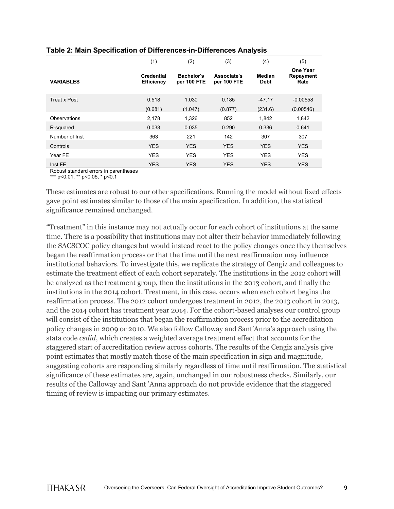|                                                                         | (1)                                    | (2)                              | (3)                        | (4)                   | (5)                           |
|-------------------------------------------------------------------------|----------------------------------------|----------------------------------|----------------------------|-----------------------|-------------------------------|
| <b>VARIABLES</b>                                                        | <b>Credential</b><br><b>Efficiency</b> | <b>Bachelor's</b><br>per 100 FTE | Associate's<br>per 100 FTE | Median<br><b>Debt</b> | One Year<br>Repayment<br>Rate |
|                                                                         |                                        |                                  |                            |                       |                               |
| <b>Treat x Post</b>                                                     | 0.518                                  | 1.030                            | 0.185                      | $-47.17$              | $-0.00558$                    |
|                                                                         | (0.681)                                | (1.047)                          | (0.877)                    | (231.6)               | (0.00546)                     |
| <b>Observations</b>                                                     | 2,178                                  | 1,326                            | 852                        | 1,842                 | 1,842                         |
| R-squared                                                               | 0.033                                  | 0.035                            | 0.290                      | 0.336                 | 0.641                         |
| Number of Inst                                                          | 363                                    | 221                              | 142                        | 307                   | 307                           |
| Controls                                                                | <b>YES</b>                             | <b>YES</b>                       | <b>YES</b>                 | <b>YES</b>            | <b>YES</b>                    |
| Year FE                                                                 | <b>YES</b>                             | <b>YES</b>                       | <b>YES</b>                 | <b>YES</b>            | <b>YES</b>                    |
| Inst FE                                                                 | <b>YES</b>                             | <b>YES</b>                       | <b>YES</b>                 | YES.                  | <b>YES</b>                    |
| Robust standard errors in parentheses<br>*** p<0.01, ** p<0.05, * p<0.1 |                                        |                                  |                            |                       |                               |

#### **Table 2: Main Specification of Differences-in-Differences Analysis**

These estimates are robust to our other specifications. Running the model without fixed effects gave point estimates similar to those of the main specification. In addition, the statistical significance remained unchanged.

"Treatment" in this instance may not actually occur for each cohort of institutions at the same time. There is a possibility that institutions may not alter their behavior immediately following the SACSCOC policy changes but would instead react to the policy changes once they themselves began the reaffirmation process or that the time until the next reaffirmation may influence institutional behaviors. To investigate this, we replicate the strategy of Cengiz and colleagues to estimate the treatment effect of each cohort separately. The institutions in the 2012 cohort will be analyzed as the treatment group, then the institutions in the 2013 cohort, and finally the institutions in the 2014 cohort. Treatment, in this case, occurs when each cohort begins the reaffirmation process. The 2012 cohort undergoes treatment in 2012, the 2013 cohort in 2013, and the 2014 cohort has treatment year 2014. For the cohort-based analyses our control group will consist of the institutions that began the reaffirmation process prior to the accreditation policy changes in 2009 or 2010. We also follow Calloway and Sant'Anna's approach using the stata code *csdid*, which creates a weighted average treatment effect that accounts for the staggered start of accreditation review across cohorts. The results of the Cengiz analysis give point estimates that mostly match those of the main specification in sign and magnitude, suggesting cohorts are responding similarly regardless of time until reaffirmation. The statistical significance of these estimates are, again, unchanged in our robustness checks. Similarly, our results of the Calloway and Sant 'Anna approach do not provide evidence that the staggered timing of review is impacting our primary estimates.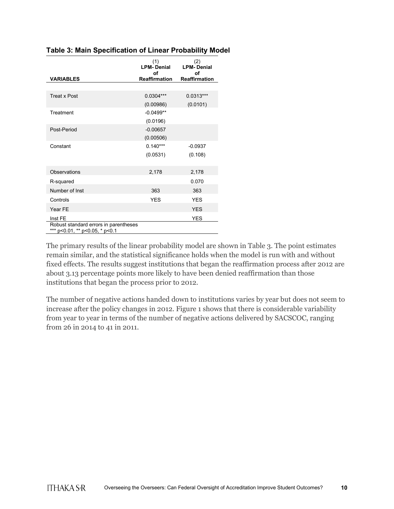|                                                                         | (1)<br><b>LPM-Denial</b><br>οf | (2)<br><b>LPM-Denial</b><br>οf |
|-------------------------------------------------------------------------|--------------------------------|--------------------------------|
| <b>VARIABLES</b>                                                        | <b>Reaffirmation</b>           | <b>Reaffirmation</b>           |
|                                                                         |                                |                                |
| <b>Treat x Post</b>                                                     | $0.0304***$                    | $0.0313***$                    |
|                                                                         | (0.00986)                      | (0.0101)                       |
| Treatment                                                               | $-0.0499**$                    |                                |
|                                                                         | (0.0196)                       |                                |
| Post-Period                                                             | $-0.00657$                     |                                |
|                                                                         | (0.00506)                      |                                |
| Constant                                                                | $0.140***$                     | $-0.0937$                      |
|                                                                         | (0.0531)                       | (0.108)                        |
| Observations                                                            | 2,178                          | 2,178                          |
| R-squared                                                               |                                | 0.070                          |
| Number of Inst                                                          | 363                            | 363                            |
| Controls                                                                | <b>YES</b>                     | <b>YES</b>                     |
| Year FE                                                                 |                                | <b>YES</b>                     |
| Inst FE                                                                 |                                | <b>YES</b>                     |
| Robust standard errors in parentheses<br>*** p<0.01, ** p<0.05, * p<0.1 |                                |                                |

#### **Table 3: Main Specification of Linear Probability Model**

The primary results of the linear probability model are shown in Table 3. The point estimates remain similar, and the statistical significance holds when the model is run with and without fixed effects. The results suggest institutions that began the reaffirmation process after 2012 are about 3.13 percentage points more likely to have been denied reaffirmation than those institutions that began the process prior to 2012.

The number of negative actions handed down to institutions varies by year but does not seem to increase after the policy changes in 2012. Figure 1 shows that there is considerable variability from year to year in terms of the number of negative actions delivered by SACSCOC, ranging from 26 in 2014 to 41 in 2011.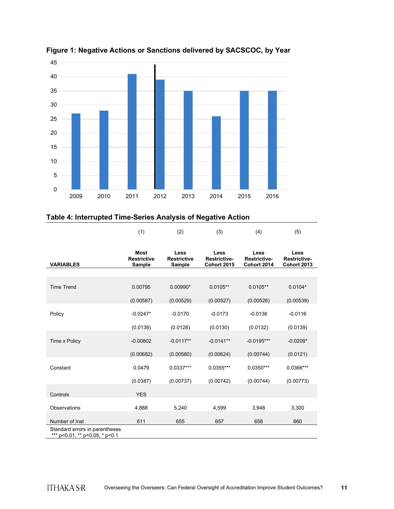

**Figure 1: Negative Actions or Sanctions delivered by SACSCOC, by Year**

### **Table 4: Interrupted Time-Series Analysis of Negative Action**

|                                                              | (1)                                         | (2)                                         | (3)                                               | (4)                                        | (5)                                               |
|--------------------------------------------------------------|---------------------------------------------|---------------------------------------------|---------------------------------------------------|--------------------------------------------|---------------------------------------------------|
| <b>VARIABLES</b>                                             | <b>Most</b><br><b>Restrictive</b><br>Sample | Less<br><b>Restrictive</b><br><b>Sample</b> | Less<br><b>Restrictive-</b><br><b>Cohort 2015</b> | Less<br><b>Restrictive-</b><br>Cohort 2014 | Less<br><b>Restrictive-</b><br><b>Cohort 2013</b> |
|                                                              |                                             |                                             |                                                   |                                            |                                                   |
| <b>Time Trend</b>                                            | 0.00795                                     | $0.00990*$                                  | $0.0105**$                                        | $0.0105**$                                 | $0.0104*$                                         |
|                                                              | (0.00587)                                   | (0.00529)                                   | (0.00527)                                         | (0.00526)                                  | (0.00539)                                         |
| Policy                                                       | $-0.0247*$                                  | $-0.0170$                                   | $-0.0173$                                         | $-0.0136$                                  | $-0.0116$                                         |
|                                                              | (0.0138)                                    | (0.0128)                                    | (0.0130)                                          | (0.0132)                                   | (0.0139)                                          |
| Time x Policy                                                | $-0.00802$                                  | $-0.0117**$                                 | $-0.0141**$                                       | $-0.0195***$                               | $-0.0209*$                                        |
|                                                              | (0.00682)                                   | (0.00580)                                   | (0.00624)                                         | (0.00744)                                  | (0.0121)                                          |
| Constant                                                     | 0.0479                                      | $0.0337***$                                 | $0.0355***$                                       | $0.0350***$                                | $0.0366***$                                       |
|                                                              | (0.0387)                                    | (0.00737)                                   | (0.00742)                                         | (0.00744)                                  | (0.00773)                                         |
| Controls                                                     | <b>YES</b>                                  |                                             |                                                   |                                            |                                                   |
| Observations                                                 | 4,888                                       | 5,240                                       | 4,599                                             | 3,948                                      | 3,300                                             |
| Number of Inst                                               | 611                                         | 655                                         | 657                                               | 658                                        | 660                                               |
| Standard errors in parentheses<br>p<0.01, ** p<0.05, * p<0.1 |                                             |                                             |                                                   |                                            |                                                   |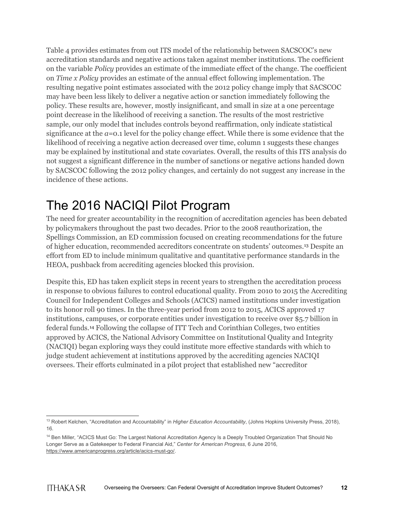Table 4 provides estimates from out ITS model of the relationship between SACSCOC's new accreditation standards and negative actions taken against member institutions. The coefficient on the variable *Policy* provides an estimate of the immediate effect of the change. The coefficient on *Time x Policy* provides an estimate of the annual effect following implementation. The resulting negative point estimates associated with the 2012 policy change imply that SACSCOC may have been less likely to deliver a negative action or sanction immediately following the policy. These results are, however, mostly insignificant, and small in size at a one percentage point decrease in the likelihood of receiving a sanction. The results of the most restrictive sample, our only model that includes controls beyond reaffirmation, only indicate statistical significance at the *a*=0.1 level for the policy change effect. While there is some evidence that the likelihood of receiving a negative action decreased over time, column 1 suggests these changes may be explained by institutional and state covariates. Overall, the results of this ITS analysis do not suggest a significant difference in the number of sanctions or negative actions handed down by SACSCOC following the 2012 policy changes, and certainly do not suggest any increase in the incidence of these actions.

## The 2016 NACIQI Pilot Program

The need for greater accountability in the recognition of accreditation agencies has been debated by policymakers throughout the past two decades. Prior to the 2008 reauthorization, the Spellings Commission, an ED commission focused on creating recommendations for the future of higher education, recommended accreditors concentrate on students' outcomes.[13](#page-12-0) Despite an effort from ED to include minimum qualitative and quantitative performance standards in the HEOA, pushback from accrediting agencies blocked this provision.

Despite this, ED has taken explicit steps in recent years to strengthen the accreditation process in response to obvious failures to control educational quality. From 2010 to 2015 the Accrediting Council for Independent Colleges and Schools (ACICS) named institutions under investigation to its honor roll 90 times. In the three-year period from 2012 to 2015, ACICS approved 17 institutions, campuses, or corporate entities under investigation to receive over \$5.7 billion in federal funds.[14](#page-12-1) Following the collapse of ITT Tech and Corinthian Colleges, two entities approved by ACICS, the National Advisory Committee on Institutional Quality and Integrity (NACIQI) began exploring ways they could institute more effective standards with which to judge student achievement at institutions approved by the accrediting agencies NACIQI oversees. Their efforts culminated in a pilot project that established new "accreditor

<span id="page-12-0"></span><sup>&</sup>lt;sup>13</sup> Robert Kelchen, "Accreditation and Accountability" in *Higher Education Accountability*, (Johns Hopkins University Press, 2018), 16.

<span id="page-12-1"></span><sup>&</sup>lt;sup>14</sup> Ben Miller, "ACICS Must Go: The Largest National Accreditation Agency Is a Deeply Troubled Organization That Should No Longer Serve as a Gatekeeper to Federal Financial Aid," *Center for American Progress*, 6 June 2016, [https://www.americanprogress.org/article/acics-must-go/.](https://www.americanprogress.org/article/acics-must-go/)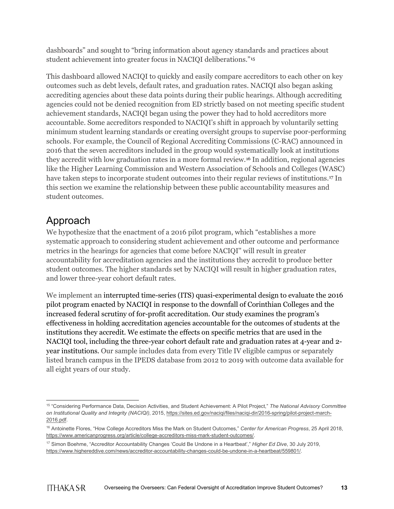dashboards" and sought to "bring information about agency standards and practices about student achievement into greater focus in NACIQI deliberations."[15](#page-13-0)

This dashboard allowed NACIQI to quickly and easily compare accreditors to each other on key outcomes such as debt levels, default rates, and graduation rates. NACIQI also began asking accrediting agencies about these data points during their public hearings. Although accrediting agencies could not be denied recognition from ED strictly based on not meeting specific student achievement standards, NACIQI began using the power they had to hold accreditors more accountable. Some accreditors responded to NACIQI's shift in approach by voluntarily setting minimum student learning standards or creating oversight groups to supervise poor-performing schools. For example, the Council of Regional Accrediting Commissions (C-RAC) announced in 2016 that the seven accreditors included in the group would systematically look at institutions they accredit with low graduation rates in a more formal review.[16](#page-13-1) In addition, regional agencies like the Higher Learning Commission and Western Association of Schools and Colleges (WASC) have taken steps to incorporate student outcomes into their regular reviews of institutions.[17](#page-13-2) In this section we examine the relationship between these public accountability measures and student outcomes.

### Approach

We hypothesize that the enactment of a 2016 pilot program, which "establishes a more systematic approach to considering student achievement and other outcome and performance metrics in the hearings for agencies that come before NACIQI'' will result in greater accountability for accreditation agencies and the institutions they accredit to produce better student outcomes. The higher standards set by NACIQI will result in higher graduation rates, and lower three-year cohort default rates.

We implement an interrupted time-series (ITS) quasi-experimental design to evaluate the 2016 pilot program enacted by NACIQI in response to the downfall of Corinthian Colleges and the increased federal scrutiny of for-profit accreditation. Our study examines the program's effectiveness in holding accreditation agencies accountable for the outcomes of students at the institutions they accredit. We estimate the effects on specific metrics that are used in the NACIQI tool, including the three-year cohort default rate and graduation rates at 4-year and 2 year institutions. Our sample includes data from every Title IV eligible campus or separately listed branch campus in the IPEDS database from 2012 to 2019 with outcome data available for all eight years of our study.

<span id="page-13-0"></span><sup>15</sup> "Considering Performance Data, Decision Activities, and Student Achievement: A Pilot Project," *The National Advisory Committee on Institutional Quality and Integrity (NACIQI)*, 2015, [https://sites.ed.gov/naciqi/files/naciqi-dir/2016-spring/pilot-project-march-](https://sites.ed.gov/naciqi/files/naciqi-dir/2016-spring/pilot-project-march-2016.pdf)[2016.pdf.](https://sites.ed.gov/naciqi/files/naciqi-dir/2016-spring/pilot-project-march-2016.pdf)

<span id="page-13-1"></span><sup>16</sup> Antoinette Flores, "How College Accreditors Miss the Mark on Student Outcomes," *Center for American Progress*, 25 April 2018, [https://www.americanprogress.org/article/college-accreditors-miss-mark-student-outcomes/.](https://www.americanprogress.org/article/college-accreditors-miss-mark-student-outcomes/)

<span id="page-13-2"></span><sup>17</sup> Simon Boehme, "Accreditor Accountability Changes 'Could Be Undone in a Heartbeat'," *Higher Ed Dive*, 30 July 2019, [https://www.highereddive.com/news/accreditor-accountability-changes-could-be-undone-in-a-heartbeat/559801/.](https://www.highereddive.com/news/accreditor-accountability-changes-could-be-undone-in-a-heartbeat/559801/)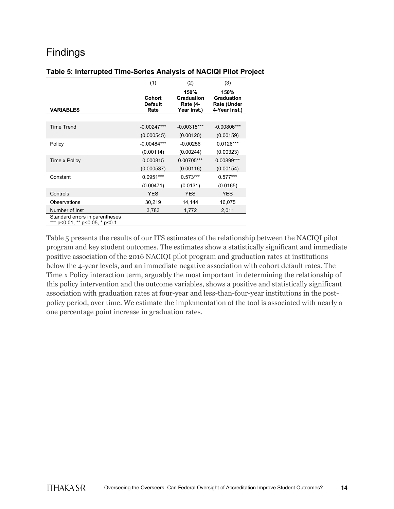### Findings

#### **Table 5: Interrupted Time-Series Analysis of NACIQI Pilot Project**

|                                                                  | (1)                              | (2)                                           | (3)                                                              |
|------------------------------------------------------------------|----------------------------------|-----------------------------------------------|------------------------------------------------------------------|
| <b>VARIABLES</b>                                                 | Cohort<br><b>Default</b><br>Rate | 150%<br>Graduation<br>Rate (4-<br>Year Inst.) | 150%<br><b>Graduation</b><br><b>Rate (Under</b><br>4-Year Inst.) |
|                                                                  |                                  |                                               |                                                                  |
| <b>Time Trend</b>                                                | $-0.00247***$                    | $-0.00315***$                                 | $-0.00806***$                                                    |
|                                                                  | (0.000545)                       | (0.00120)                                     | (0.00159)                                                        |
| Policy                                                           | $-0.00484***$                    | $-0.00256$                                    | $0.0126***$                                                      |
|                                                                  | (0.00114)                        | (0.00244)                                     | (0.00323)                                                        |
| Time x Policy                                                    | 0.000815                         | 0.00705***                                    | 0.00899***                                                       |
|                                                                  | (0.000537)                       | (0.00116)                                     | (0.00154)                                                        |
| Constant                                                         | $0.0951***$                      | $0.573***$                                    | $0.577***$                                                       |
|                                                                  | (0.00471)                        | (0.0131)                                      | (0.0165)                                                         |
| Controls                                                         | <b>YES</b>                       | <b>YES</b>                                    | <b>YES</b>                                                       |
| Observations                                                     | 30,219                           | 14,144                                        | 16,075                                                           |
| Number of Inst                                                   | 3,783                            | 1,772                                         | 2,011                                                            |
| Standard errors in parentheses<br>*** p<0.01, ** p<0.05, * p<0.1 |                                  |                                               |                                                                  |

Table 5 presents the results of our ITS estimates of the relationship between the NACIQI pilot program and key student outcomes. The estimates show a statistically significant and immediate positive association of the 2016 NACIQI pilot program and graduation rates at institutions below the 4-year levels, and an immediate negative association with cohort default rates. The Time x Policy interaction term, arguably the most important in determining the relationship of this policy intervention and the outcome variables, shows a positive and statistically significant association with graduation rates at four-year and less-than-four-year institutions in the postpolicy period, over time. We estimate the implementation of the tool is associated with nearly a one percentage point increase in graduation rates.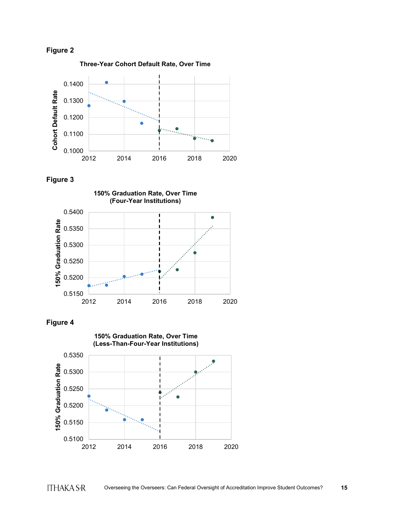

**Three-Year Cohort Default Rate, Over Time**



**Figure 3**





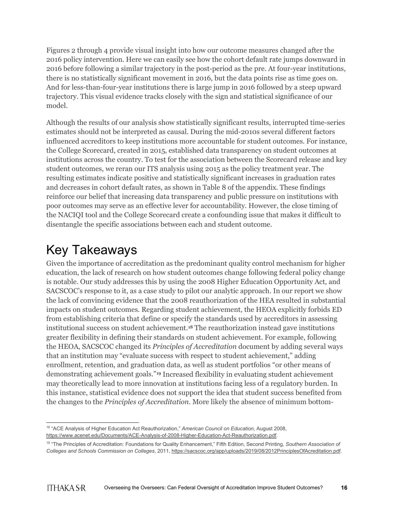Figures 2 through 4 provide visual insight into how our outcome measures changed after the 2016 policy intervention. Here we can easily see how the cohort default rate jumps downward in 2016 before following a similar trajectory in the post-period as the pre. At four-year institutions, there is no statistically significant movement in 2016, but the data points rise as time goes on. And for less-than-four-year institutions there is large jump in 2016 followed by a steep upward trajectory. This visual evidence tracks closely with the sign and statistical significance of our model.

Although the results of our analysis show statistically significant results, interrupted time-series estimates should not be interpreted as causal. During the mid-2010s several different factors influenced accreditors to keep institutions more accountable for student outcomes. For instance, the College Scorecard, created in 2015, established data transparency on student outcomes at institutions across the country. To test for the association between the Scorecard release and key student outcomes, we reran our ITS analysis using 2015 as the policy treatment year. The resulting estimates indicate positive and statistically significant increases in graduation rates and decreases in cohort default rates, as shown in Table 8 of the appendix. These findings reinforce our belief that increasing data transparency and public pressure on institutions with poor outcomes may serve as an effective lever for accountability. However, the close timing of the NACIQI tool and the College Scorecard create a confounding issue that makes it difficult to disentangle the specific associations between each and student outcome.

## Key Takeaways

Given the importance of accreditation as the predominant quality control mechanism for higher education, the lack of research on how student outcomes change following federal policy change is notable. Our study addresses this by using the 2008 Higher Education Opportunity Act, and SACSCOC's response to it, as a case study to pilot our analytic approach. In our report we show the lack of convincing evidence that the 2008 reauthorization of the HEA resulted in substantial impacts on student outcomes. Regarding student achievement, the HEOA explicitly forbids ED from establishing criteria that define or specify the standards used by accreditors in assessing institutional success on student achievement.[18](#page-16-0) The reauthorization instead gave institutions greater flexibility in defining their standards on student achievement. For example, following the HEOA, SACSCOC changed its *Principles of Accreditation* document by adding several ways that an institution may "evaluate success with respect to student achievement," adding enrollment, retention, and graduation data, as well as student portfolios "or other means of demonstrating achievement goals."[19](#page-16-1) Increased flexibility in evaluating student achievement may theoretically lead to more innovation at institutions facing less of a regulatory burden. In this instance, statistical evidence does not support the idea that student success benefited from the changes to the *Principles of Accreditation*. More likely the absence of minimum bottom-

<span id="page-16-0"></span><sup>18</sup> "ACE Analysis of Higher Education Act Reauthorization," *American Council on Education*, August 2008, [https://www.acenet.edu/Documents/ACE-Analysis-of-2008-Higher-Education-Act-Reauthorization.pdf.](https://www.acenet.edu/Documents/ACE-Analysis-of-2008-Higher-Education-Act-Reauthorization.pdf)

<span id="page-16-1"></span><sup>19</sup> "The Principles of Accreditation: Foundations for Quality Enhancement," Fifth Edition, Second Printing, *Southern Association of Colleges and Schools Commission on Colleges*, 2011, [https://sacscoc.org/app/uploads/2019/08/2012PrinciplesOfAcreditation.pdf.](https://sacscoc.org/app/uploads/2019/08/2012PrinciplesOfAcreditation.pdf)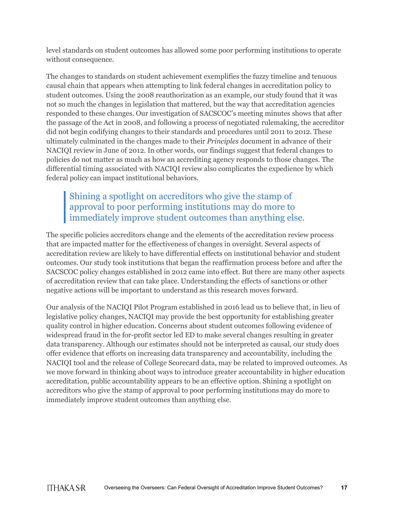level standards on student outcomes has allowed some poor performing institutions to operate without consequence.

The changes to standards on student achievement exemplifies the fuzzy timeline and tenuous causal chain that appears when attempting to link federal changes in accreditation policy to student outcomes. Using the 2008 reauthorization as an example, our study found that it was not so much the changes in legislation that mattered, but the way that accreditation agencies responded to these changes. Our investigation of SACSCOC's meeting minutes shows that after the passage of the Act in 2008, and following a process of negotiated rulemaking, the accreditor did not begin codifying changes to their standards and procedures until 2011 to 2012. These ultimately culminated in the changes made to their *Principles* document in advance of their NACIQI review in June of 2012. In other words, our findings suggest that federal changes to policies do not matter as much as how an accrediting agency responds to those changes. The differential timing associated with NACIQI review also complicates the expedience by which federal policy can impact institutional behaviors.

### Shining a spotlight on accreditors who give the stamp of approval to poor performing institutions may do more to immediately improve student outcomes than anything else.

The specific policies accreditors change and the elements of the accreditation review process that are impacted matter for the effectiveness of changes in oversight. Several aspects of accreditation review are likely to have differential effects on institutional behavior and student outcomes. Our study took institutions that began the reaffirmation process before and after the SACSCOC policy changes established in 2012 came into effect. But there are many other aspects of accreditation review that can take place. Understanding the effects of sanctions or other negative actions will be important to understand as this research moves forward.

Our analysis of the NACIQI Pilot Program established in 2016 lead us to believe that, in lieu of legislative policy changes, NACIQI may provide the best opportunity for establishing greater quality control in higher education. Concerns about student outcomes following evidence of widespread fraud in the for-profit sector led ED to make several changes resulting in greater data transparency. Although our estimates should not be interpreted as causal, our study does offer evidence that efforts on increasing data transparency and accountability, including the NACIQI tool and the release of College Scorecard data, may be related to improved outcomes. As we move forward in thinking about ways to introduce greater accountability in higher education accreditation, public accountability appears to be an effective option. Shining a spotlight on accreditors who give the stamp of approval to poor performing institutions may do more to immediately improve student outcomes than anything else.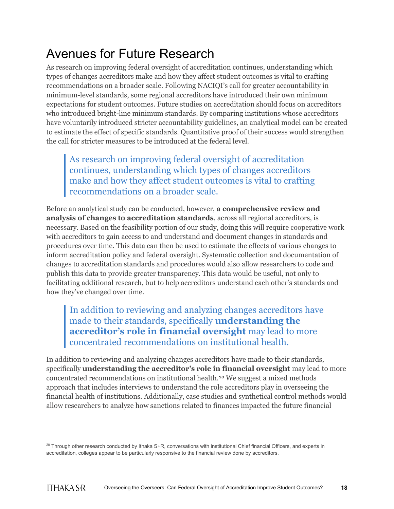## Avenues for Future Research

As research on improving federal oversight of accreditation continues, understanding which types of changes accreditors make and how they affect student outcomes is vital to crafting recommendations on a broader scale. Following NACIQI's call for greater accountability in minimum-level standards, some regional accreditors have introduced their own minimum expectations for student outcomes. Future studies on accreditation should focus on accreditors who introduced bright-line minimum standards. By comparing institutions whose accreditors have voluntarily introduced stricter accountability guidelines, an analytical model can be created to estimate the effect of specific standards. Quantitative proof of their success would strengthen the call for stricter measures to be introduced at the federal level.

As research on improving federal oversight of accreditation continues, understanding which types of changes accreditors make and how they affect student outcomes is vital to crafting recommendations on a broader scale.

Before an analytical study can be conducted, however, **a comprehensive review and analysis of changes to accreditation standards**, across all regional accreditors, is necessary. Based on the feasibility portion of our study, doing this will require cooperative work with accreditors to gain access to and understand and document changes in standards and procedures over time. This data can then be used to estimate the effects of various changes to inform accreditation policy and federal oversight. Systematic collection and documentation of changes to accreditation standards and procedures would also allow researchers to code and publish this data to provide greater transparency. This data would be useful, not only to facilitating additional research, but to help accreditors understand each other's standards and how they've changed over time.

In addition to reviewing and analyzing changes accreditors have made to their standards, specifically **understanding the accreditor's role in financial oversight** may lead to more concentrated recommendations on institutional health.

In addition to reviewing and analyzing changes accreditors have made to their standards, specifically **understanding the accreditor's role in financial oversight** may lead to more concentrated recommendations on institutional health.[20](#page-18-0) We suggest a mixed methods approach that includes interviews to understand the role accreditors play in overseeing the financial health of institutions. Additionally, case studies and synthetical control methods would allow researchers to analyze how sanctions related to finances impacted the future financial

<span id="page-18-0"></span><sup>&</sup>lt;sup>20</sup> Through other research conducted by Ithaka S+R, conversations with institutional Chief financial Officers, and experts in accreditation, colleges appear to be particularly responsive to the financial review done by accreditors.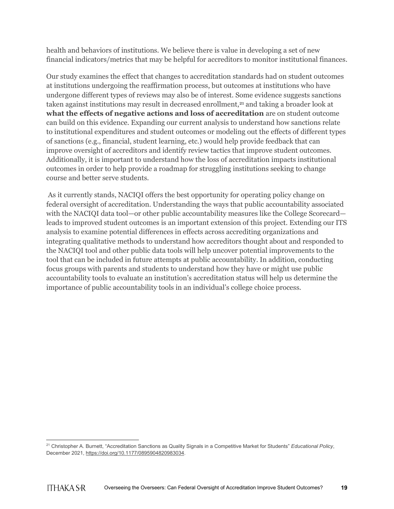health and behaviors of institutions. We believe there is value in developing a set of new financial indicators/metrics that may be helpful for accreditors to monitor institutional finances.

Our study examines the effect that changes to accreditation standards had on student outcomes at institutions undergoing the reaffirmation process, but outcomes at institutions who have undergone different types of reviews may also be of interest. Some evidence suggests sanctions taken against institutions may result in decreased enrollment,<sup>[21](#page-19-0)</sup> and taking a broader look at **what the effects of negative actions and loss of accreditation** are on student outcome can build on this evidence. Expanding our current analysis to understand how sanctions relate to institutional expenditures and student outcomes or modeling out the effects of different types of sanctions (e.g., financial, student learning, etc.) would help provide feedback that can improve oversight of accreditors and identify review tactics that improve student outcomes. Additionally, it is important to understand how the loss of accreditation impacts institutional outcomes in order to help provide a roadmap for struggling institutions seeking to change course and better serve students.

As it currently stands, NACIQI offers the best opportunity for operating policy change on federal oversight of accreditation. Understanding the ways that public accountability associated with the NACIQI data tool—or other public accountability measures like the College Scorecard leads to improved student outcomes is an important extension of this project. Extending our ITS analysis to examine potential differences in effects across accrediting organizations and integrating qualitative methods to understand how accreditors thought about and responded to the NACIQI tool and other public data tools will help uncover potential improvements to the tool that can be included in future attempts at public accountability. In addition, conducting focus groups with parents and students to understand how they have or might use public accountability tools to evaluate an institution's accreditation status will help us determine the importance of public accountability tools in an individual's college choice process.

<span id="page-19-0"></span><sup>21</sup> Christopher A. Burnett, "Accreditation Sanctions as Quality Signals in a Competitive Market for Students" *Educational Policy*, December 2021[, https://doi.org/10.1177/0895904820983034.](https://doi.org/10.1177/0895904820983034)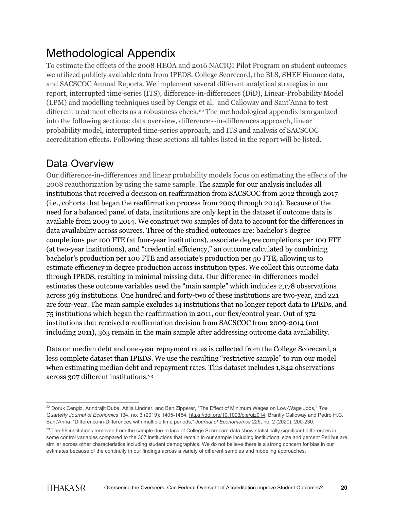## Methodological Appendix

To estimate the effects of the 2008 HEOA and 2016 NACIQI Pilot Program on student outcomes we utilized publicly available data from IPEDS, College Scorecard, the BLS, SHEF Finance data, and SACSCOC Annual Reports. We implement several different analytical strategies in our report, interrupted time-series (ITS), difference-in-differences (DiD), Linear-Probability Model (LPM) and modelling techniques used by Cengiz et al. and Calloway and Sant'Anna to test different treatment effects as a robustness check.<sup>22</sup> The methodological appendix is organized into the following sections: data overview, differences-in-differences approach, linear probability model, interrupted time-series approach, and ITS and analysis of SACSCOC accreditation effects**.** Following these sections all tables listed in the report will be listed.

### Data Overview

Our difference-in-differences and linear probability models focus on estimating the effects of the 2008 reauthorization by using the same sample. The sample for our analysis includes all institutions that received a decision on reaffirmation from SACSCOC from 2012 through 2017 (i.e., cohorts that began the reaffirmation process from 2009 through 2014). Because of the need for a balanced panel of data, institutions are only kept in the dataset if outcome data is available from 2009 to 2014. We construct two samples of data to account for the differences in data availability across sources. Three of the studied outcomes are: bachelor's degree completions per 100 FTE (at four-year institutions), associate degree completions per 100 FTE (at two-year institutions), and "credential efficiency," an outcome calculated by combining bachelor's production per 100 FTE and associate's production per 50 FTE, allowing us to estimate efficiency in degree production across institution types. We collect this outcome data through IPEDS, resulting in minimal missing data. Our difference-in-differences model estimates these outcome variables used the "main sample" which includes 2,178 observations across 363 institutions. One hundred and forty-two of these institutions are two-year, and 221 are four-year. The main sample excludes 14 institutions that no longer report data to IPEDs, and 75 institutions which began the reaffirmation in 2011, our flex/control year. Out of 372 institutions that received a reaffirmation decision from SACSCOC from 2009-2014 (not including 2011), 363 remain in the main sample after addressing outcome data availability.

Data on median debt and one-year repayment rates is collected from the College Scorecard, a less complete dataset than IPEDS. We use the resulting "restrictive sample" to run our model when estimating median debt and repayment rates. This dataset includes 1,842 observations across 307 different institutions.[23](#page-20-1)

<span id="page-20-0"></span><sup>22</sup> Doruk Cengiz, Arindrajit Dube, Attila Lindner, and Ben Zipperer, "The Effect of Minimum Wages on Low-Wage Jobs," *The Quarterly Journal of Economics* 134, no. 3 (2019): 1405-1454, [https://doi.org/10.1093/qje/qjz014;](https://doi.org/10.1093/qje/qjz014) Brantly Calloway and Pedro H.C. Sant'Anna, "Difference-in-Differences with multiple time periods," *Journal of Econometrics* 225, no. 2 (2020): 200-230.

<span id="page-20-1"></span> $23$  The 56 institutions removed from the sample due to lack of College Scorecard data show statistically significant differences in some control variables compared to the 307 institutions that remain in our sample including institutional size and percent Pell but are similar across other characteristics including student demographics. We do not believe there is a strong concern for bias in our estimates because of the continuity in our findings across a variety of different samples and modeling approaches.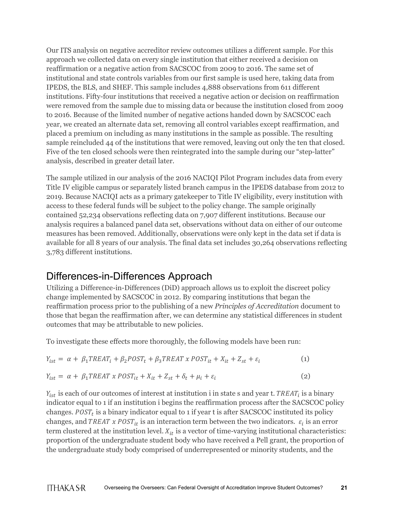Our ITS analysis on negative accreditor review outcomes utilizes a different sample. For this approach we collected data on every single institution that either received a decision on reaffirmation or a negative action from SACSCOC from 2009 to 2016. The same set of institutional and state controls variables from our first sample is used here, taking data from IPEDS, the BLS, and SHEF. This sample includes 4,888 observations from 611 different institutions. Fifty-four institutions that received a negative action or decision on reaffirmation were removed from the sample due to missing data or because the institution closed from 2009 to 2016. Because of the limited number of negative actions handed down by SACSCOC each year, we created an alternate data set, removing all control variables except reaffirmation, and placed a premium on including as many institutions in the sample as possible. The resulting sample reincluded 44 of the institutions that were removed, leaving out only the ten that closed. Five of the ten closed schools were then reintegrated into the sample during our "step-latter" analysis, described in greater detail later.

The sample utilized in our analysis of the 2016 NACIQI Pilot Program includes data from every Title IV eligible campus or separately listed branch campus in the IPEDS database from 2012 to 2019. Because NACIQI acts as a primary gatekeeper to Title IV eligibility, every institution with access to these federal funds will be subject to the policy change. The sample originally contained 52,234 observations reflecting data on 7,907 different institutions. Because our analysis requires a balanced panel data set, observations without data on either of our outcome measures has been removed. Additionally, observations were only kept in the data set if data is available for all 8 years of our analysis. The final data set includes 30,264 observations reflecting 3,783 different institutions.

### Differences-in-Differences Approach

Utilizing a Difference-in-Differences (DiD) approach allows us to exploit the discreet policy change implemented by SACSCOC in 2012. By comparing institutions that began the reaffirmation process prior to the publishing of a new *Principles of Accreditation* document to those that began the reaffirmation after, we can determine any statistical differences in student outcomes that may be attributable to new policies.

To investigate these effects more thoroughly, the following models have been run:

$$
Y_{ist} = \alpha + \beta_1 TREAT_i + \beta_2 POST_t + \beta_3 TREAT \times POST_{it} + X_{it} + Z_{st} + \varepsilon_i
$$
 (1)

$$
Y_{ist} = \alpha + \beta_1 TREAT \times POST_{it} + X_{it} + Z_{st} + \delta_t + \mu_i + \varepsilon_i
$$
\n(2)

 $Y_{ist}$  is each of our outcomes of interest at institution i in state s and year t. TREAT<sub>i</sub> is a binary indicator equal to 1 if an institution i begins the reaffirmation process after the SACSCOC policy changes.  $POST_t$  is a binary indicator equal to 1 if year t is after SACSCOC instituted its policy changes, and TREAT x POST<sub>it</sub> is an interaction term between the two indicators.  $\varepsilon_i$  is an error term clustered at the institution level.  $X_{it}$  is a vector of time-varying institutional characteristics: proportion of the undergraduate student body who have received a Pell grant, the proportion of the undergraduate study body comprised of underrepresented or minority students, and the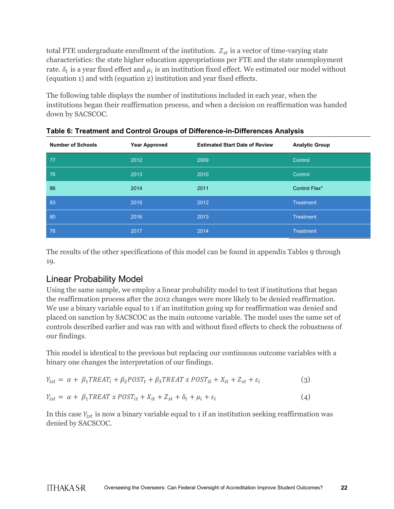total FTE undergraduate enrollment of the institution.  $Z_{st}$  is a vector of time-varying state characteristics: the state higher education appropriations per FTE and the state unemployment rate.  $\delta_t$  is a year fixed effect and  $\mu_i$  is an institution fixed effect. We estimated our model without (equation 1) and with (equation 2) institution and year fixed effects.

The following table displays the number of institutions included in each year, when the institutions began their reaffirmation process, and when a decision on reaffirmation was handed down by SACSCOC.

| <b>Number of Schools</b> | <b>Year Approved</b> | <b>Estimated Start Date of Review</b> | <b>Analytic Group</b> |
|--------------------------|----------------------|---------------------------------------|-----------------------|
| 77                       | 2012                 | 2009                                  | Control               |
| 76                       | 2013                 | 2010                                  | Control               |
| 86                       | 2014                 | 2011                                  | Control Flex*         |
| 83                       | 2015                 | 2012                                  | <b>Treatment</b>      |
| 80                       | 2016                 | 2013                                  | <b>Treatment</b>      |
| 76                       | 2017                 | 2014                                  | <b>Treatment</b>      |

**Table 6: Treatment and Control Groups of Difference-in-Differences Analysis**

The results of the other specifications of this model can be found in appendix Tables 9 through 19.

### Linear Probability Model

Using the same sample, we employ a linear probability model to test if institutions that began the reaffirmation process after the 2012 changes were more likely to be denied reaffirmation. We use a binary variable equal to 1 if an institution going up for reaffirmation was denied and placed on sanction by SACSCOC as the main outcome variable. The model uses the same set of controls described earlier and was ran with and without fixed effects to check the robustness of our findings.

This model is identical to the previous but replacing our continuous outcome variables with a binary one changes the interpretation of our findings.

$$
Y_{ist} = \alpha + \beta_1 T REAL_i + \beta_2 POST_t + \beta_3 T REAL \times POST_{it} + X_{it} + Z_{st} + \varepsilon_i
$$
\n(3)

$$
Y_{ist} = \alpha + \beta_1 TREAT \times POST_{it} + X_{it} + Z_{st} + \delta_t + \mu_i + \varepsilon_i
$$
\n
$$
\tag{4}
$$

In this case  $Y_{ist}$  is now a binary variable equal to 1 if an institution seeking reaffirmation was denied by SACSCOC.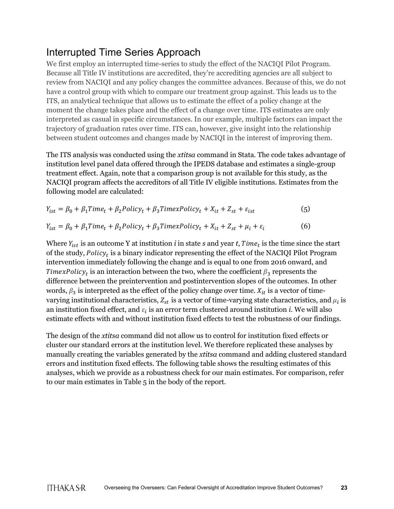### Interrupted Time Series Approach

We first employ an interrupted time-series to study the effect of the NACIQI Pilot Program. Because all Title IV institutions are accredited, they're accrediting agencies are all subject to review from NACIQI and any policy changes the committee advances. Because of this, we do not have a control group with which to compare our treatment group against. This leads us to the ITS, an analytical technique that allows us to estimate the effect of a policy change at the moment the change takes place and the effect of a change over time. ITS estimates are only interpreted as casual in specific circumstances. In our example, multiple factors can impact the trajectory of graduation rates over time. ITS can, however, give insight into the relationship between student outcomes and changes made by NACIQI in the interest of improving them.

The ITS analysis was conducted using the *xtitsa* command in Stata. The code takes advantage of institution level panel data offered through the IPEDS database and estimates a single-group treatment effect. Again, note that a comparison group is not available for this study, as the NACIQI program affects the accreditors of all Title IV eligible institutions. Estimates from the following model are calculated:

$$
Y_{ist} = \beta_0 + \beta_1 Time_t + \beta_2 Policy_t + \beta_3 TimexPolicy_t + X_{it} + Z_{st} + \varepsilon_{ist}
$$
\n(5)  
\n
$$
Y_{ist} = \beta_0 + \beta_1 Time_t + \beta_2 Policy_t + \beta_3 TimexPolicy_t + X_{it} + Z_{st} + \mu_i + \varepsilon_i
$$
\n(6)

Where  $Y_{ist}$  is an outcome Y at institution *i* in state *s* and year *t*,  $Time<sub>t</sub>$  is the time since the start of the study,  $Policy_t$  is a binary indicator representing the effect of the NACIQI Pilot Program intervention immediately following the change and is equal to one from 2016 onward, and TimexPolicy<sub>t</sub> is an interaction between the two, where the coefficient  $\beta_3$  represents the difference between the preintervention and postintervention slopes of the outcomes. In other words,  $\beta_3$  is interpreted as the effect of the policy change over time.  $X_{it}$  is a vector of timevarying institutional characteristics,  $Z_{st}$  is a vector of time-varying state characteristics, and  $\mu_i$  is an institution fixed effect, and  $\varepsilon_i$  is an error term clustered around institution *i*. We will also estimate effects with and without institution fixed effects to test the robustness of our findings.

The design of the *xtitsa* command did not allow us to control for institution fixed effects or cluster our standard errors at the institution level. We therefore replicated these analyses by manually creating the variables generated by the *xtitsa* command and adding clustered standard errors and institution fixed effects. The following table shows the resulting estimates of this analyses, which we provide as a robustness check for our main estimates. For comparison, refer to our main estimates in Table 5 in the body of the report.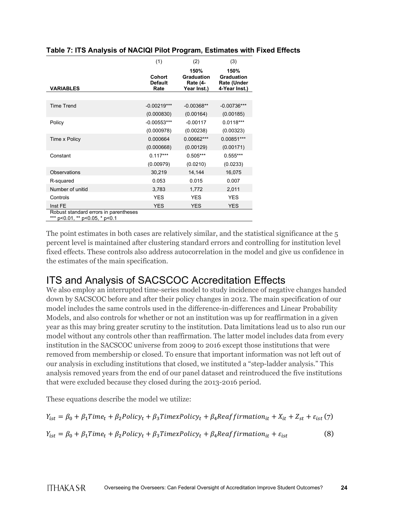|                                                                         | (1)                              | (2)                                                  | (3)                                                              |
|-------------------------------------------------------------------------|----------------------------------|------------------------------------------------------|------------------------------------------------------------------|
| <b>VARIABLES</b>                                                        | Cohort<br><b>Default</b><br>Rate | 150%<br><b>Graduation</b><br>Rate (4-<br>Year Inst.) | 150%<br><b>Graduation</b><br><b>Rate (Under</b><br>4-Year Inst.) |
|                                                                         |                                  |                                                      |                                                                  |
| <b>Time Trend</b>                                                       | $-0.00219***$                    | $-0.00368**$                                         | $-0.00736***$                                                    |
|                                                                         | (0.000830)                       | (0.00164)                                            | (0.00185)                                                        |
| Policy                                                                  | -0.00553***                      | $-0.00117$                                           | $0.0118***$                                                      |
|                                                                         | (0.000978)                       | (0.00238)                                            | (0.00323)                                                        |
| Time x Policy                                                           | 0.000664                         | 0.00662***                                           | $0.00851***$                                                     |
|                                                                         | (0.000668)                       | (0.00129)                                            | (0.00171)                                                        |
| Constant                                                                | $0.117***$                       | $0.505***$                                           | $0.555***$                                                       |
|                                                                         | (0.00979)                        | (0.0210)                                             | (0.0233)                                                         |
| Observations                                                            | 30,219                           | 14,144                                               | 16,075                                                           |
| R-squared                                                               | 0.053                            | 0.015                                                | 0.007                                                            |
| Number of unitid                                                        | 3,783                            | 1,772                                                | 2,011                                                            |
| Controls                                                                | <b>YES</b>                       | <b>YES</b>                                           | <b>YES</b>                                                       |
| Inst FE                                                                 | <b>YES</b>                       | <b>YES</b>                                           | <b>YES</b>                                                       |
| Robust standard errors in parentheses<br>*** p<0.01, ** p<0.05, * p<0.1 |                                  |                                                      |                                                                  |

#### **Table 7: ITS Analysis of NACIQI Pilot Program, Estimates with Fixed Effects**

The point estimates in both cases are relatively similar, and the statistical significance at the 5 percent level is maintained after clustering standard errors and controlling for institution level fixed effects. These controls also address autocorrelation in the model and give us confidence in the estimates of the main specification.

### ITS and Analysis of SACSCOC Accreditation Effects

We also employ an interrupted time-series model to study incidence of negative changes handed down by SACSCOC before and after their policy changes in 2012. The main specification of our model includes the same controls used in the difference-in-differences and Linear Probability Models, and also controls for whether or not an institution was up for reaffirmation in a given year as this may bring greater scrutiny to the institution. Data limitations lead us to also run our model without any controls other than reaffirmation. The latter model includes data from every institution in the SACSCOC universe from 2009 to 2016 except those institutions that were removed from membership or closed. To ensure that important information was not left out of our analysis in excluding institutions that closed, we instituted a "step-ladder analysis." This analysis removed years from the end of our panel dataset and reintroduced the five institutions that were excluded because they closed during the 2013-2016 period.

These equations describe the model we utilize:

 $Y_{ist} = \beta_0 + \beta_1 Time_t + \beta_2 Policy_t + \beta_3 TimexPolicy_t + \beta_4 Realfirmation_{it} + X_{it} + Z_{st} + \varepsilon_{ist}$  (7)

 $Y_{ist} = \beta_0 + \beta_1 Time_t + \beta_2 Policy_t + \beta_3 TimexPolicy_t + \beta_4 Realfirmation_{it} + \varepsilon_{ist}$  (8)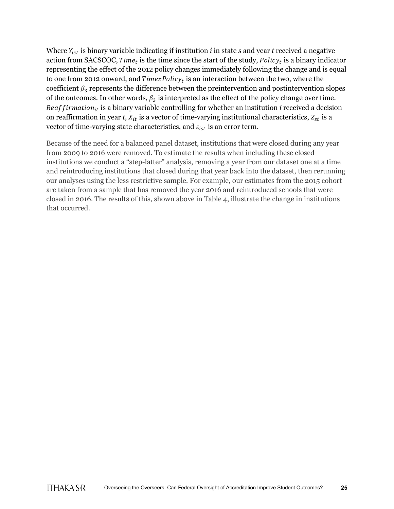Where  $Y_{ist}$  is binary variable indicating if institution  $i$  in state  $s$  and year  $t$  received a negative action from SACSCOC, Time<sub>t</sub> is the time since the start of the study,  $Policy_t$  is a binary indicator representing the effect of the 2012 policy changes immediately following the change and is equal to one from 2012 onward, and  $TimerPolicy_t$  is an interaction between the two, where the coefficient  $\beta_3$  represents the difference between the preintervention and postintervention slopes of the outcomes. In other words,  $\beta_3$  is interpreted as the effect of the policy change over time. Reaffirmation<sub>it</sub> is a binary variable controlling for whether an institution *i* received a decision on reaffirmation in year *t*,  $X_{it}$  is a vector of time-varying institutional characteristics,  $Z_{st}$  is a vector of time-varying state characteristics, and  $\varepsilon_{ist}$  is an error term.

Because of the need for a balanced panel dataset, institutions that were closed during any year from 2009 to 2016 were removed. To estimate the results when including these closed institutions we conduct a "step-latter" analysis, removing a year from our dataset one at a time and reintroducing institutions that closed during that year back into the dataset, then rerunning our analyses using the less restrictive sample. For example, our estimates from the 2015 cohort are taken from a sample that has removed the year 2016 and reintroduced schools that were closed in 2016. The results of this, shown above in Table 4, illustrate the change in institutions that occurred.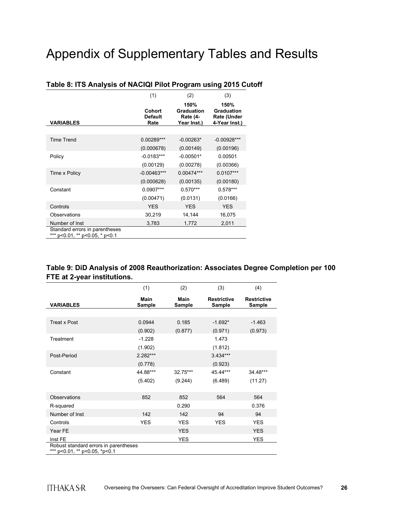## Appendix of Supplementary Tables and Results

|                                                                  | (1)                              | (2)                                                  | (3)                                                       |
|------------------------------------------------------------------|----------------------------------|------------------------------------------------------|-----------------------------------------------------------|
| <b>VARIABLES</b>                                                 | Cohort<br><b>Default</b><br>Rate | 150%<br>Graduation<br><b>Rate (4-</b><br>Year Inst.) | 150%<br><b>Graduation</b><br>Rate (Under<br>4-Year Inst.) |
|                                                                  |                                  |                                                      |                                                           |
| <b>Time Trend</b>                                                | $0.00289***$                     | $-0.00263*$                                          | $-0.00928***$                                             |
|                                                                  | (0.000678)                       | (0.00149)                                            | (0.00196)                                                 |
| Policy                                                           | $-0.0183***$                     | $-0.00501*$                                          | 0.00501                                                   |
|                                                                  | (0.00129)                        | (0.00278)                                            | (0.00366)                                                 |
| Time x Policy                                                    | $-0.00463***$                    | 0.00474***                                           | $0.0107***$                                               |
|                                                                  | (0.000628)                       | (0.00135)                                            | (0.00180)                                                 |
| Constant                                                         | $0.0907***$                      | $0.570***$                                           | $0.578***$                                                |
|                                                                  | (0.00471)                        | (0.0131)                                             | (0.0166)                                                  |
| Controls                                                         | <b>YES</b>                       | <b>YES</b>                                           | <b>YES</b>                                                |
| Observations                                                     | 30,219                           | 14,144                                               | 16,075                                                    |
| Number of Inst                                                   | 3,783                            | 1,772                                                | 2,011                                                     |
| Standard errors in parentheses<br>*** p<0.01. ** p<0.05. * p<0.1 |                                  |                                                      |                                                           |

### **Table 8: ITS Analysis of NACIQI Pilot Program using 2015 Cutoff**

### **Table 9: DiD Analysis of 2008 Reauthorization: Associates Degree Completion per 100 FTE at 2-year institutions.**

|                                                                        | (1)            | (2)                   | (3)                          | (4)                          |
|------------------------------------------------------------------------|----------------|-----------------------|------------------------------|------------------------------|
| <b>VARIABLES</b>                                                       | Main<br>Sample | Main<br><b>Sample</b> | <b>Restrictive</b><br>Sample | <b>Restrictive</b><br>Sample |
|                                                                        |                |                       |                              |                              |
| <b>Treat x Post</b>                                                    | 0.0944         | 0.185                 | $-1.692*$                    | $-1.463$                     |
|                                                                        | (0.902)        | (0.877)               | (0.971)                      | (0.973)                      |
| Treatment                                                              | $-1.228$       |                       | 1.473                        |                              |
|                                                                        | (1.902)        |                       | (1.812)                      |                              |
| Post-Period                                                            | $2.282***$     |                       | $3.434***$                   |                              |
|                                                                        | (0.778)        |                       | (0.923)                      |                              |
| Constant                                                               | 44.88***       | 32.75***              | 45.44***                     | 34.48***                     |
|                                                                        | (5.402)        | (9.244)               | (6.489)                      | (11.27)                      |
|                                                                        |                |                       |                              |                              |
| Observations                                                           | 852            | 852                   | 564                          | 564                          |
| R-squared                                                              |                | 0.290                 |                              | 0.376                        |
| Number of Inst                                                         | 142            | 142                   | 94                           | 94                           |
| Controls                                                               | <b>YES</b>     | <b>YES</b>            | <b>YES</b>                   | <b>YES</b>                   |
| Year FE                                                                |                | <b>YES</b>            |                              | <b>YES</b>                   |
| Inst FE                                                                |                | <b>YES</b>            |                              | <b>YES</b>                   |
| Robust standard errors in parentheses<br>*** p<0.01, ** p<0.05, *p<0.1 |                |                       |                              |                              |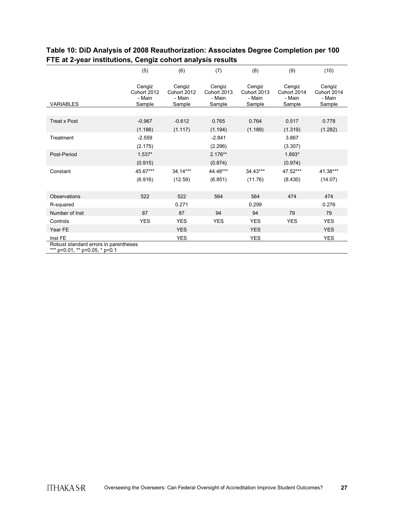|                                                                         | (5)                                       | (6)                                       | (7)                                       | (8)                                       | (9)                                       | (10)                                      |
|-------------------------------------------------------------------------|-------------------------------------------|-------------------------------------------|-------------------------------------------|-------------------------------------------|-------------------------------------------|-------------------------------------------|
| <b>VARIABLES</b>                                                        | Cengiz<br>Cohort 2012<br>- Main<br>Sample | Cengiz<br>Cohort 2012<br>- Main<br>Sample | Cengiz<br>Cohort 2013<br>- Main<br>Sample | Cengiz<br>Cohort 2013<br>- Main<br>Sample | Cengiz<br>Cohort 2014<br>- Main<br>Sample | Cengiz<br>Cohort 2014<br>- Main<br>Sample |
|                                                                         |                                           |                                           |                                           |                                           |                                           |                                           |
| <b>Treat x Post</b>                                                     | $-0.967$                                  | $-0.612$                                  | 0.765                                     | 0.764                                     | 0.517                                     | 0.778                                     |
|                                                                         | (1.186)                                   | (1.117)                                   | (1.194)                                   | (1.189)                                   | (1.319)                                   | (1.282)                                   |
| Treatment                                                               | $-2.559$                                  |                                           | $-2.841$                                  |                                           | 3.867                                     |                                           |
|                                                                         | (2.175)                                   |                                           | (2.296)                                   |                                           | (3.307)                                   |                                           |
| Post-Period                                                             | $1.537*$                                  |                                           | $2.176**$                                 |                                           | 1.893*                                    |                                           |
|                                                                         | (0.915)                                   |                                           | (0.874)                                   |                                           | (0.974)                                   |                                           |
| Constant                                                                | 45.67***                                  | 34.14***                                  | 44.48***                                  | 34.43***                                  | 47.52***                                  | 41.38***                                  |
|                                                                         | (6.916)                                   | (12.59)                                   | (6.851)                                   | (11.76)                                   | (8.430)                                   | (14.07)                                   |
|                                                                         |                                           |                                           |                                           |                                           |                                           |                                           |
| Observations                                                            | 522                                       | 522                                       | 564                                       | 564                                       | 474                                       | 474                                       |
| R-squared                                                               |                                           | 0.271                                     |                                           | 0.299                                     |                                           | 0.276                                     |
| Number of Inst                                                          | 87                                        | 87                                        | 94                                        | 94                                        | 79                                        | 79                                        |
| Controls                                                                | <b>YES</b>                                | <b>YES</b>                                | <b>YES</b>                                | <b>YES</b>                                | <b>YES</b>                                | <b>YES</b>                                |
| Year FE                                                                 |                                           | <b>YES</b>                                |                                           | <b>YES</b>                                |                                           | <b>YES</b>                                |
| Inst FE                                                                 |                                           | YES                                       |                                           | YES                                       |                                           | YES                                       |
| Robust standard errors in parentheses<br>*** p<0.01, ** p<0.05, * p<0.1 |                                           |                                           |                                           |                                           |                                           |                                           |

### **Table 10: DiD Analysis of 2008 Reauthorization: Associates Degree Completion per 100 FTE at 2-year institutions, Cengiz cohort analysis results**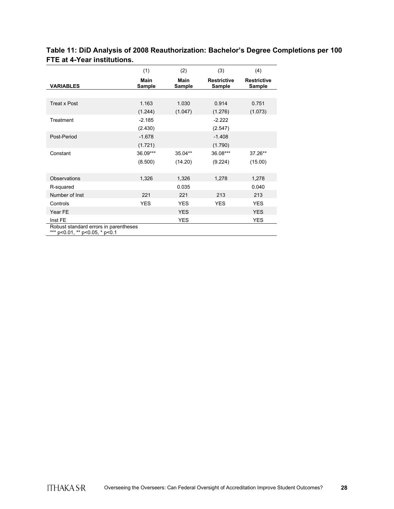|                                                                         | (1)            | (2)                   | (3)                          | (4)                                 |
|-------------------------------------------------------------------------|----------------|-----------------------|------------------------------|-------------------------------------|
| <b>VARIABLES</b>                                                        | Main<br>Sample | <b>Main</b><br>Sample | <b>Restrictive</b><br>Sample | <b>Restrictive</b><br><b>Sample</b> |
|                                                                         |                |                       |                              |                                     |
| <b>Treat x Post</b>                                                     | 1.163          | 1.030                 | 0.914                        | 0.751                               |
|                                                                         | (1.244)        | (1.047)               | (1.276)                      | (1.073)                             |
| Treatment                                                               | $-2.185$       |                       | $-2.222$                     |                                     |
|                                                                         | (2.430)        |                       | (2.547)                      |                                     |
| Post-Period                                                             | $-1.678$       |                       | $-1.408$                     |                                     |
|                                                                         | (1.721)        |                       | (1.790)                      |                                     |
| Constant                                                                | 36.09***       | 35.04**               | 36.08***                     | 37.26**                             |
|                                                                         | (8.500)        | (14.20)               | (9.224)                      | (15.00)                             |
|                                                                         |                |                       |                              |                                     |
| <b>Observations</b>                                                     | 1,326          | 1,326                 | 1,278                        | 1,278                               |
| R-squared                                                               |                | 0.035                 |                              | 0.040                               |
| Number of Inst                                                          | 221            | 221                   | 213                          | 213                                 |
| Controls                                                                | <b>YES</b>     | <b>YES</b>            | <b>YES</b>                   | <b>YES</b>                          |
| Year FE                                                                 |                | <b>YES</b>            |                              | <b>YES</b>                          |
| Inst FE                                                                 |                | <b>YES</b>            |                              | <b>YES</b>                          |
| Robust standard errors in parentheses<br>*** p<0.01, ** p<0.05, * p<0.1 |                |                       |                              |                                     |

### **Table 11: DiD Analysis of 2008 Reauthorization: Bachelor's Degree Completions per 100 FTE at 4-Year institutions.**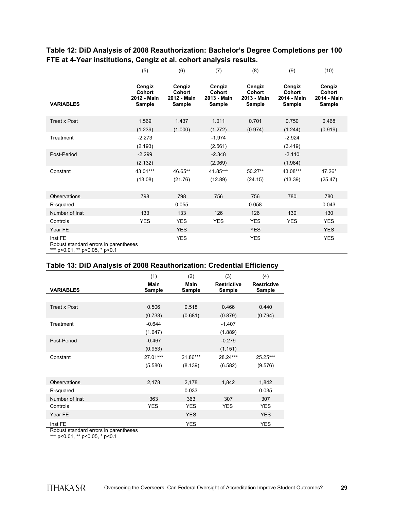|                                                                       | (5)                                       | (6)                                       | (7)                                       | (8)                                       | (9)                                              | (10)                                      |
|-----------------------------------------------------------------------|-------------------------------------------|-------------------------------------------|-------------------------------------------|-------------------------------------------|--------------------------------------------------|-------------------------------------------|
| <b>VARIABLES</b>                                                      | Cengiz<br>Cohort<br>2012 - Main<br>Sample | Cengiz<br>Cohort<br>2012 - Main<br>Sample | Cengiz<br>Cohort<br>2013 - Main<br>Sample | Cengiz<br>Cohort<br>2013 - Main<br>Sample | Cengiz<br>Cohort<br>2014 - Main<br><b>Sample</b> | Cengiz<br>Cohort<br>2014 - Main<br>Sample |
|                                                                       |                                           |                                           |                                           |                                           |                                                  |                                           |
| <b>Treat x Post</b>                                                   | 1.569                                     | 1.437                                     | 1.011                                     | 0.701                                     | 0.750                                            | 0.468                                     |
|                                                                       | (1.239)                                   | (1.000)                                   | (1.272)                                   | (0.974)                                   | (1.244)                                          | (0.919)                                   |
| Treatment                                                             | $-2.273$                                  |                                           | $-1.974$                                  |                                           | $-2.924$                                         |                                           |
|                                                                       | (2.193)                                   |                                           | (2.561)                                   |                                           | (3.419)                                          |                                           |
| Post-Period                                                           | $-2.299$                                  |                                           | $-2.348$                                  |                                           | $-2.110$                                         |                                           |
|                                                                       | (2.132)                                   |                                           | (2.069)                                   |                                           | (1.984)                                          |                                           |
| Constant                                                              | 43.01***                                  | 46.65**                                   | 41.85***                                  | $50.27**$                                 | 43.08***                                         | 47.26*                                    |
|                                                                       | (13.08)                                   | (21.76)                                   | (12.89)                                   | (24.15)                                   | (13.39)                                          | (25.47)                                   |
|                                                                       |                                           |                                           |                                           |                                           |                                                  |                                           |
| Observations                                                          | 798                                       | 798                                       | 756                                       | 756                                       | 780                                              | 780                                       |
| R-squared                                                             |                                           | 0.055                                     |                                           | 0.058                                     |                                                  | 0.043                                     |
| Number of Inst                                                        | 133                                       | 133                                       | 126                                       | 126                                       | 130                                              | 130                                       |
| Controls                                                              | <b>YES</b>                                | <b>YES</b>                                | <b>YES</b>                                | <b>YES</b>                                | <b>YES</b>                                       | <b>YES</b>                                |
| Year FE                                                               |                                           | <b>YES</b>                                |                                           | <b>YES</b>                                |                                                  | <b>YES</b>                                |
| Inst FE                                                               |                                           | <b>YES</b>                                |                                           | <b>YES</b>                                |                                                  | <b>YES</b>                                |
| Robust standard errors in parentheses<br>$*** - 0.01** - 0.05* - 0.4$ |                                           |                                           |                                           |                                           |                                                  |                                           |

#### **Table 12: DiD Analysis of 2008 Reauthorization: Bachelor's Degree Completions per 100 FTE at 4-Year institutions, Cengiz et al. cohort analysis results.**

\*\*\* p<0.01, \*\* p<0.05, \* p<0.1

#### **Table 13: DiD Analysis of 2008 Reauthorization: Credential Efficiency**

|                                                                         | (1)                   | (2)                   | (3)                          | (4)                          |
|-------------------------------------------------------------------------|-----------------------|-----------------------|------------------------------|------------------------------|
| <b>VARIABLES</b>                                                        | <b>Main</b><br>Sample | <b>Main</b><br>Sample | <b>Restrictive</b><br>Sample | <b>Restrictive</b><br>Sample |
|                                                                         |                       |                       |                              |                              |
| <b>Treat x Post</b>                                                     | 0.506                 | 0.518                 | 0.466                        | 0.440                        |
|                                                                         | (0.733)               | (0.681)               | (0.879)                      | (0.794)                      |
| Treatment                                                               | $-0.644$              |                       | $-1.407$                     |                              |
|                                                                         | (1.647)               |                       | (1.889)                      |                              |
| Post-Period                                                             | $-0.467$              |                       | $-0.279$                     |                              |
|                                                                         | (0.953)               |                       | (1.151)                      |                              |
| Constant                                                                | 27.01***              | 21.86***              | 28.24***                     | 25.25***                     |
|                                                                         | (5.580)               | (8.139)               | (6.582)                      | (9.576)                      |
|                                                                         |                       |                       |                              |                              |
| <b>Observations</b>                                                     | 2,178                 | 2,178                 | 1,842                        | 1,842                        |
| R-squared                                                               |                       | 0.033                 |                              | 0.035                        |
| Number of Inst                                                          | 363                   | 363                   | 307                          | 307                          |
| Controls                                                                | <b>YES</b>            | <b>YES</b>            | <b>YES</b>                   | <b>YES</b>                   |
| Year FE                                                                 |                       | <b>YES</b>            |                              | <b>YES</b>                   |
| Inst FE                                                                 |                       | <b>YES</b>            |                              | <b>YES</b>                   |
| Robust standard errors in parentheses<br>*** p<0.01, ** p<0.05, * p<0.1 |                       |                       |                              |                              |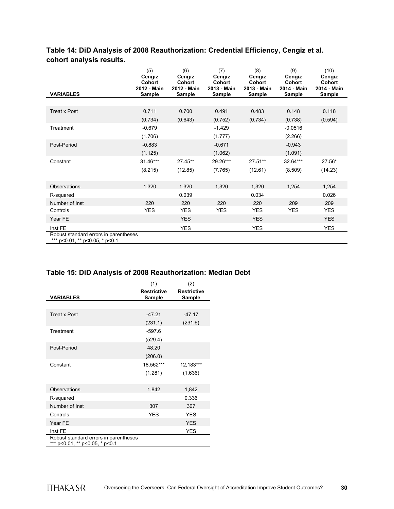### **Table 14: DiD Analysis of 2008 Reauthorization: Credential Efficiency, Cengiz et al. cohort analysis results.**

| <b>VARIABLES</b>                                                        | (5)<br>Cengiz<br>Cohort<br>2012 - Main<br>Sample | (6)<br>Cengiz<br>Cohort<br>2012 - Main<br>Sample | (7)<br>Cengiz<br><b>Cohort</b><br>2013 - Main<br>Sample | (8)<br>Cengiz<br><b>Cohort</b><br>2013 - Main<br>Sample | (9)<br>Cengiz<br>Cohort<br>2014 - Main<br><b>Sample</b> | (10)<br>Cengiz<br><b>Cohort</b><br>2014 - Main<br>Sample |
|-------------------------------------------------------------------------|--------------------------------------------------|--------------------------------------------------|---------------------------------------------------------|---------------------------------------------------------|---------------------------------------------------------|----------------------------------------------------------|
|                                                                         |                                                  |                                                  |                                                         |                                                         |                                                         |                                                          |
| <b>Treat x Post</b>                                                     | 0.711                                            | 0.700                                            | 0.491                                                   | 0.483                                                   | 0.148                                                   | 0.118                                                    |
|                                                                         | (0.734)                                          | (0.643)                                          | (0.752)                                                 | (0.734)                                                 | (0.738)                                                 | (0.594)                                                  |
| Treatment                                                               | $-0.679$                                         |                                                  | $-1.429$                                                |                                                         | $-0.0516$                                               |                                                          |
|                                                                         | (1.706)                                          |                                                  | (1.777)                                                 |                                                         | (2.266)                                                 |                                                          |
| Post-Period                                                             | $-0.883$                                         |                                                  | $-0.671$                                                |                                                         | $-0.943$                                                |                                                          |
|                                                                         | (1.125)                                          |                                                  | (1.062)                                                 |                                                         | (1.091)                                                 |                                                          |
| Constant                                                                | 31.46***                                         | 27.45**                                          | 29.26***                                                | 27.51**                                                 | 32.64***                                                | 27.56*                                                   |
|                                                                         | (8.215)                                          | (12.85)                                          | (7.765)                                                 | (12.61)                                                 | (8.509)                                                 | (14.23)                                                  |
|                                                                         |                                                  |                                                  |                                                         |                                                         |                                                         |                                                          |
| Observations                                                            | 1,320                                            | 1,320                                            | 1,320                                                   | 1,320                                                   | 1,254                                                   | 1,254                                                    |
| R-squared                                                               |                                                  | 0.039                                            |                                                         | 0.034                                                   |                                                         | 0.026                                                    |
| Number of Inst                                                          | 220                                              | 220                                              | 220                                                     | 220                                                     | 209                                                     | 209                                                      |
| Controls                                                                | <b>YES</b>                                       | <b>YES</b>                                       | <b>YES</b>                                              | <b>YES</b>                                              | <b>YES</b>                                              | <b>YES</b>                                               |
| Year FE                                                                 |                                                  | <b>YES</b>                                       |                                                         | <b>YES</b>                                              |                                                         | <b>YES</b>                                               |
| Inst FE                                                                 |                                                  | <b>YES</b>                                       |                                                         | <b>YES</b>                                              |                                                         | <b>YES</b>                                               |
| Robust standard errors in parentheses<br>*** p<0.01, ** p<0.05, * p<0.1 |                                                  |                                                  |                                                         |                                                         |                                                         |                                                          |

#### **Table 15: DiD Analysis of 2008 Reauthorization: Median Debt**

|                                                                         | (1)                          | (2)                          |
|-------------------------------------------------------------------------|------------------------------|------------------------------|
| <b>VARIABLES</b>                                                        | <b>Restrictive</b><br>Sample | <b>Restrictive</b><br>Sample |
|                                                                         |                              |                              |
| Treat x Post                                                            | $-47.21$                     | $-47.17$                     |
|                                                                         | (231.1)                      | (231.6)                      |
| Treatment                                                               | $-597.6$                     |                              |
|                                                                         | (529.4)                      |                              |
| Post-Period                                                             | 48.20                        |                              |
|                                                                         | (206.0)                      |                              |
| Constant                                                                | 18,562***                    | 12,183***                    |
|                                                                         | (1,281)                      | (1,636)                      |
|                                                                         |                              |                              |
| Observations                                                            | 1,842                        | 1,842                        |
| R-squared                                                               |                              | 0.336                        |
| Number of Inst                                                          | 307                          | 307                          |
| Controls                                                                | <b>YES</b>                   | <b>YES</b>                   |
| Year FE                                                                 |                              | <b>YES</b>                   |
| Inst FE                                                                 |                              | YES                          |
| Robust standard errors in parentheses<br>*** p<0.01, ** p<0.05, * p<0.1 |                              |                              |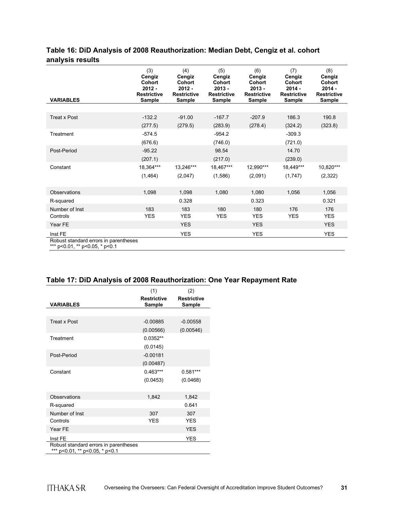### **Table 16: DiD Analysis of 2008 Reauthorization: Median Debt, Cengiz et al. cohort analysis results**

| <b>VARIABLES</b>                                                        | (3)<br>Cengiz<br><b>Cohort</b><br>$2012 -$<br><b>Restrictive</b><br>Sample | (4)<br>Cengiz<br><b>Cohort</b><br>$2012 -$<br><b>Restrictive</b><br>Sample | (5)<br>Cengiz<br><b>Cohort</b><br>$2013 -$<br><b>Restrictive</b><br><b>Sample</b> | (6)<br>Cengiz<br><b>Cohort</b><br>$2013 -$<br><b>Restrictive</b><br>Sample | (7)<br>Cengiz<br>Cohort<br>$2014 -$<br><b>Restrictive</b><br><b>Sample</b> | (8)<br>Cengiz<br>Cohort<br>$2014 -$<br><b>Restrictive</b><br>Sample |
|-------------------------------------------------------------------------|----------------------------------------------------------------------------|----------------------------------------------------------------------------|-----------------------------------------------------------------------------------|----------------------------------------------------------------------------|----------------------------------------------------------------------------|---------------------------------------------------------------------|
|                                                                         |                                                                            |                                                                            |                                                                                   |                                                                            |                                                                            |                                                                     |
| <b>Treat x Post</b>                                                     | $-132.2$                                                                   | $-91.00$                                                                   | $-167.7$                                                                          | $-207.9$                                                                   | 186.3                                                                      | 190.8                                                               |
|                                                                         | (277.5)                                                                    | (279.5)                                                                    | (283.9)                                                                           | (278.4)                                                                    | (324.2)                                                                    | (323.8)                                                             |
| Treatment                                                               | $-574.5$                                                                   |                                                                            | $-954.2$                                                                          |                                                                            | $-309.3$                                                                   |                                                                     |
|                                                                         | (676.6)                                                                    |                                                                            | (746.0)                                                                           |                                                                            | (721.0)                                                                    |                                                                     |
| Post-Period                                                             | $-95.22$                                                                   |                                                                            | 98.54                                                                             |                                                                            | 14.70                                                                      |                                                                     |
|                                                                         | (207.1)                                                                    |                                                                            | (217.0)                                                                           |                                                                            | (239.0)                                                                    |                                                                     |
| Constant                                                                | 18,364***                                                                  | 13,246***                                                                  | 18,467***                                                                         | 12,990***                                                                  | 18,449***                                                                  | 10,820***                                                           |
|                                                                         | (1, 464)                                                                   | (2,047)                                                                    | (1,586)                                                                           | (2,091)                                                                    | (1,747)                                                                    | (2,322)                                                             |
| <b>Observations</b>                                                     | 1,098                                                                      | 1,098                                                                      | 1,080                                                                             | 1,080                                                                      | 1,056                                                                      | 1,056                                                               |
| R-squared                                                               |                                                                            | 0.328                                                                      |                                                                                   | 0.323                                                                      |                                                                            | 0.321                                                               |
| Number of Inst                                                          | 183                                                                        | 183                                                                        | 180                                                                               | 180                                                                        | 176                                                                        | 176                                                                 |
| Controls                                                                | <b>YES</b>                                                                 | <b>YES</b>                                                                 | <b>YES</b>                                                                        | <b>YES</b>                                                                 | <b>YES</b>                                                                 | <b>YES</b>                                                          |
| Year FE                                                                 |                                                                            | <b>YES</b>                                                                 |                                                                                   | <b>YES</b>                                                                 |                                                                            | <b>YES</b>                                                          |
| Inst FE                                                                 |                                                                            | <b>YES</b>                                                                 |                                                                                   | <b>YES</b>                                                                 |                                                                            | <b>YES</b>                                                          |
| Robust standard errors in parentheses<br>*** p<0.01, ** p<0.05, * p<0.1 |                                                                            |                                                                            |                                                                                   |                                                                            |                                                                            |                                                                     |

#### **Table 17: DiD Analysis of 2008 Reauthorization: One Year Repayment Rate**

|                                                                         | (1)                          | (2)                          |
|-------------------------------------------------------------------------|------------------------------|------------------------------|
| <b>VARIABLES</b>                                                        | <b>Restrictive</b><br>Sample | <b>Restrictive</b><br>Sample |
|                                                                         |                              |                              |
| <b>Treat x Post</b>                                                     | $-0.00885$                   | $-0.00558$                   |
|                                                                         | (0.00566)                    | (0.00546)                    |
| Treatment                                                               | $0.0352**$                   |                              |
|                                                                         | (0.0145)                     |                              |
| Post-Period                                                             | $-0.00181$                   |                              |
|                                                                         | (0.00487)                    |                              |
| Constant                                                                | $0.463***$                   | $0.581***$                   |
|                                                                         | (0.0453)                     | (0.0468)                     |
|                                                                         |                              |                              |
| Observations                                                            | 1,842                        | 1,842                        |
| R-squared                                                               |                              | 0.641                        |
| Number of Inst                                                          | 307                          | 307                          |
| Controls                                                                | <b>YFS</b>                   | <b>YFS</b>                   |
| Year FE                                                                 |                              | <b>YES</b>                   |
| Inst FE                                                                 |                              | <b>YES</b>                   |
| Robust standard errors in parentheses<br>*** p<0.01, ** p<0.05, * p<0.1 |                              |                              |